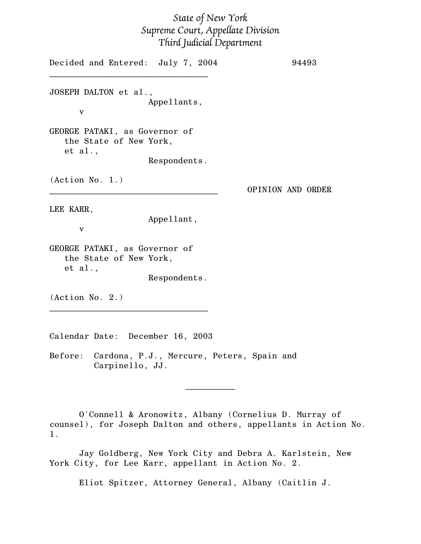# State of New York Supreme Court, Appellate Division Third Judicial Department

Decided and Entered: July 7, 2004 94493 \_\_\_\_\_\_\_\_\_\_\_\_\_\_\_\_\_\_\_\_\_\_\_\_\_\_\_\_\_\_\_\_ JOSEPH DALTON et al., Appellants, v GEORGE PATAKI, as Governor of the State of New York, et al., Respondents. (Action No. 1.) \_\_\_\_\_\_\_\_\_\_\_\_\_\_\_\_\_\_\_\_\_\_\_\_\_\_\_\_\_\_\_\_\_\_ OPINION AND ORDER LEE KARR, Appellant, v GEORGE PATAKI, as Governor of the State of New York, et al., Respondents. (Action No. 2.)

Calendar Date: December 16, 2003

\_\_\_\_\_\_\_\_\_\_\_\_\_\_\_\_\_\_\_\_\_\_\_\_\_\_\_\_\_\_\_\_

Before: Cardona, P.J., Mercure, Peters, Spain and Carpinello, JJ.

O'Connell & Aronowitz, Albany (Cornelius D. Murray of counsel), for Joseph Dalton and others, appellants in Action No. 1.

 $\frac{1}{2}$ 

Jay Goldberg, New York City and Debra A. Karlstein, New York City, for Lee Karr, appellant in Action No. 2.

Eliot Spitzer, Attorney General, Albany (Caitlin J.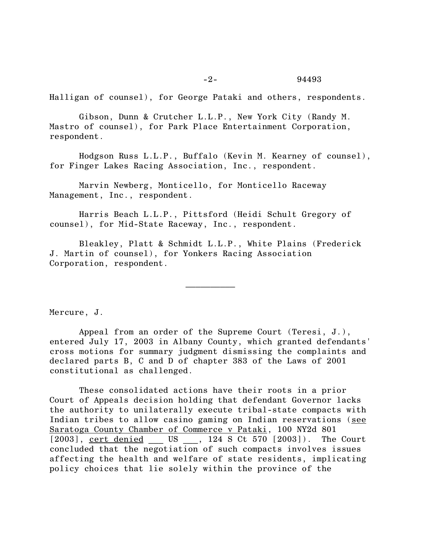## -2- 94493

Halligan of counsel), for George Pataki and others, respondents.

Gibson, Dunn & Crutcher L.L.P., New York City (Randy M. Mastro of counsel), for Park Place Entertainment Corporation, respondent.

Hodgson Russ L.L.P., Buffalo (Kevin M. Kearney of counsel), for Finger Lakes Racing Association, Inc., respondent.

Marvin Newberg, Monticello, for Monticello Raceway Management, Inc., respondent.

Harris Beach L.L.P., Pittsford (Heidi Schult Gregory of counsel), for Mid-State Raceway, Inc., respondent.

Bleakley, Platt & Schmidt L.L.P., White Plains (Frederick J. Martin of counsel), for Yonkers Racing Association Corporation, respondent.

 $\frac{1}{2}$ 

Mercure, J.

Appeal from an order of the Supreme Court (Teresi, J.), entered July 17, 2003 in Albany County, which granted defendants' cross motions for summary judgment dismissing the complaints and declared parts B, C and D of chapter 383 of the Laws of 2001 constitutional as challenged.

These consolidated actions have their roots in a prior Court of Appeals decision holding that defendant Governor lacks the authority to unilaterally execute tribal-state compacts with Indian tribes to allow casino gaming on Indian reservations (see Saratoga County Chamber of Commerce v Pataki, 100 NY2d 801 [2003], cert denied \_\_\_ US \_\_\_, 124 S Ct 570 [2003]). The Court concluded that the negotiation of such compacts involves issues affecting the health and welfare of state residents, implicating policy choices that lie solely within the province of the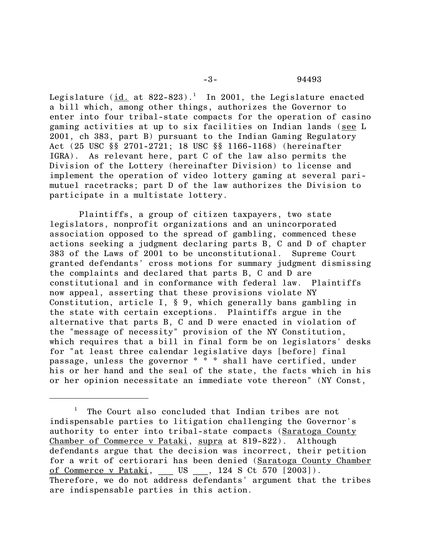Legislature (<u>id.</u> at 822-823).<sup>1</sup> In 2001, the Legislature enacted a bill which, among other things, authorizes the Governor to enter into four tribal-state compacts for the operation of casino gaming activities at up to six facilities on Indian lands (see L 2001, ch 383, part B) pursuant to the Indian Gaming Regulatory Act (25 USC §§ 2701-2721; 18 USC §§ 1166-1168) (hereinafter IGRA). As relevant here, part C of the law also permits the Division of the Lottery (hereinafter Division) to license and implement the operation of video lottery gaming at several parimutuel racetracks; part D of the law authorizes the Division to participate in a multistate lottery.

Plaintiffs, a group of citizen taxpayers, two state legislators, nonprofit organizations and an unincorporated association opposed to the spread of gambling, commenced these actions seeking a judgment declaring parts B, C and D of chapter 383 of the Laws of 2001 to be unconstitutional. Supreme Court granted defendants' cross motions for summary judgment dismissing the complaints and declared that parts B, C and D are constitutional and in conformance with federal law. Plaintiffs now appeal, asserting that these provisions violate NY Constitution, article I, § 9, which generally bans gambling in the state with certain exceptions. Plaintiffs argue in the alternative that parts B, C and D were enacted in violation of the "message of necessity" provision of the NY Constitution, which requires that a bill in final form be on legislators' desks for "at least three calendar legislative days [before] final passage, unless the governor \* \* \* shall have certified, under his or her hand and the seal of the state, the facts which in his or her opinion necessitate an immediate vote thereon" (NY Const,

<sup>1</sup> The Court also concluded that Indian tribes are not indispensable parties to litigation challenging the Governor's authority to enter into tribal-state compacts (Saratoga County Chamber of Commerce v Pataki, supra at 819-822). Although defendants argue that the decision was incorrect, their petition for a writ of certiorari has been denied (Saratoga County Chamber of Commerce v Pataki,  $US$ , 124 S Ct 570  $[2003]$ ). Therefore, we do not address defendants' argument that the tribes are indispensable parties in this action.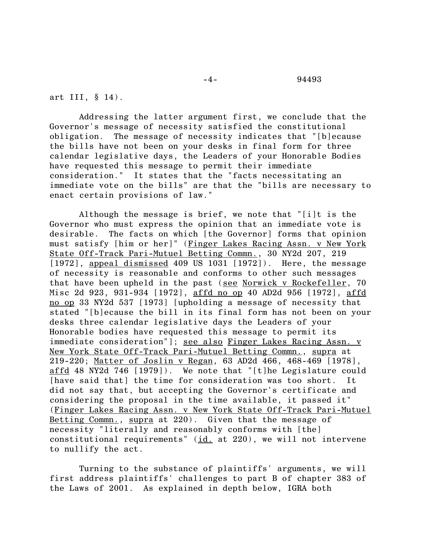-4- 94493

art III, § 14).

Addressing the latter argument first, we conclude that the Governor's message of necessity satisfied the constitutional obligation. The message of necessity indicates that "[b]ecause the bills have not been on your desks in final form for three calendar legislative days, the Leaders of your Honorable Bodies have requested this message to permit their immediate consideration." It states that the "facts necessitating an immediate vote on the bills" are that the "bills are necessary to enact certain provisions of law."

Although the message is brief, we note that "[i]t is the Governor who must express the opinion that an immediate vote is desirable. The facts on which [the Governor] forms that opinion must satisfy [him or her]" (Finger Lakes Racing Assn. v New York State Off-Track Pari-Mutuel Betting Commn., 30 NY2d 207, 219 [1972], appeal dismissed 409 US 1031 [1972]). Here, the message of necessity is reasonable and conforms to other such messages that have been upheld in the past (see Norwick v Rockefeller, 70 Misc 2d 923, 931-934 [1972], affd no op 40 AD2d 956 [1972], affd no op 33 NY2d 537 [1973] [upholding a message of necessity that stated "[b]ecause the bill in its final form has not been on your desks three calendar legislative days the Leaders of your Honorable bodies have requested this message to permit its immediate consideration"]; see also Finger Lakes Racing Assn. v New York State Off-Track Pari-Mutuel Betting Commn., supra at 219-220; Matter of Joslin v Regan, 63 AD2d 466, 468-469 [1978], affd 48 NY2d 746 [1979]). We note that "[t]he Legislature could [have said that] the time for consideration was too short. It did not say that, but accepting the Governor's certificate and considering the proposal in the time available, it passed it" (Finger Lakes Racing Assn. v New York State Off-Track Pari-Mutuel Betting Commn., supra at 220). Given that the message of necessity "literally and reasonably conforms with [the] constitutional requirements"  $(id.$  at  $220)$ , we will not intervene to nullify the act.

Turning to the substance of plaintiffs' arguments, we will first address plaintiffs' challenges to part B of chapter 383 of the Laws of 2001. As explained in depth below, IGRA both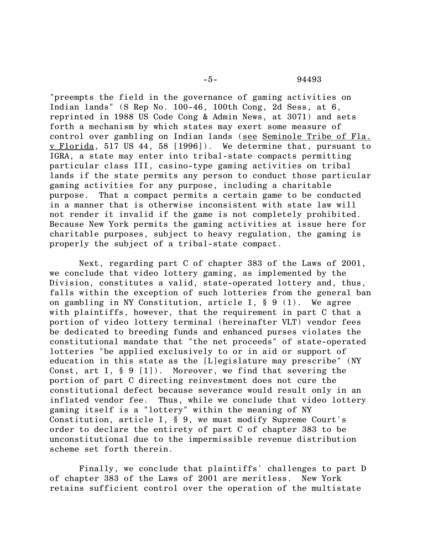"preempts the field in the governance of gaming activities on Indian lands" (S Rep No. 100-46, 100th Cong, 2d Sess, at 6, reprinted in 1988 US Code Cong & Admin News, at 3071) and sets forth a mechanism by which states may exert some measure of control over gambling on Indian lands (see Seminole Tribe of Fla. v Florida, 517 US 44, 58 [1996]). We determine that, pursuant to IGRA, a state may enter into tribal-state compacts permitting particular class III, casino-type gaming activities on tribal lands if the state permits any person to conduct those particular gaming activities for any purpose, including a charitable purpose. That a compact permits a certain game to be conducted in a manner that is otherwise inconsistent with state law will not render it invalid if the game is not completely prohibited. Because New York permits the gaming activities at issue here for charitable purposes, subject to heavy regulation, the gaming is properly the subject of a tribal-state compact.

Next, regarding part C of chapter 383 of the Laws of 2001, we conclude that video lottery gaming, as implemented by the Division, constitutes a valid, state-operated lottery and, thus, falls within the exception of such lotteries from the general ban on gambling in NY Constitution, article I, § 9 (1). We agree with plaintiffs, however, that the requirement in part C that a portion of video lottery terminal (hereinafter VLT) vendor fees be dedicated to breeding funds and enhanced purses violates the constitutional mandate that "the net proceeds" of state-operated lotteries "be applied exclusively to or in aid or support of education in this state as the [L]egislature may prescribe" (NY Const, art I,  $\S 9$  [1]). Moreover, we find that severing the portion of part C directing reinvestment does not cure the constitutional defect because severance would result only in an inflated vendor fee. Thus, while we conclude that video lottery gaming itself is a "lottery" within the meaning of NY Constitution, article I, § 9, we must modify Supreme Court's order to declare the entirety of part C of chapter 383 to be unconstitutional due to the impermissible revenue distribution scheme set forth therein.

Finally, we conclude that plaintiffs' challenges to part D of chapter 383 of the Laws of 2001 are meritless. New York retains sufficient control over the operation of the multistate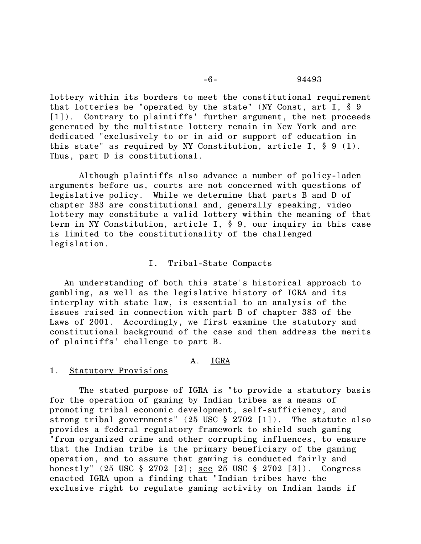-6- 94493

lottery within its borders to meet the constitutional requirement that lotteries be "operated by the state" (NY Const, art I, § 9 [1]). Contrary to plaintiffs' further argument, the net proceeds generated by the multistate lottery remain in New York and are dedicated "exclusively to or in aid or support of education in this state" as required by NY Constitution, article I, § 9 (1). Thus, part D is constitutional.

Although plaintiffs also advance a number of policy-laden arguments before us, courts are not concerned with questions of legislative policy. While we determine that parts B and D of chapter 383 are constitutional and, generally speaking, video lottery may constitute a valid lottery within the meaning of that term in NY Constitution, article I, § 9, our inquiry in this case is limited to the constitutionality of the challenged legislation.

#### I. Tribal-State Compacts

An understanding of both this state's historical approach to gambling, as well as the legislative history of IGRA and its interplay with state law, is essential to an analysis of the issues raised in connection with part B of chapter 383 of the Laws of 2001. Accordingly, we first examine the statutory and constitutional background of the case and then address the merits of plaintiffs' challenge to part B.

#### A. IGRA

#### 1. Statutory Provisions

The stated purpose of IGRA is "to provide a statutory basis for the operation of gaming by Indian tribes as a means of promoting tribal economic development, self-sufficiency, and strong tribal governments" (25 USC § 2702 [1]). The statute also provides a federal regulatory framework to shield such gaming "from organized crime and other corrupting influences, to ensure that the Indian tribe is the primary beneficiary of the gaming operation, and to assure that gaming is conducted fairly and honestly"  $(25 \text{ USC} \text{ } \text{\&} 2702 \text{ } [2]; \text{ see } 25 \text{ USC} \text{ } \text{\&} 2702 \text{ } [3])$ . Congress enacted IGRA upon a finding that "Indian tribes have the exclusive right to regulate gaming activity on Indian lands if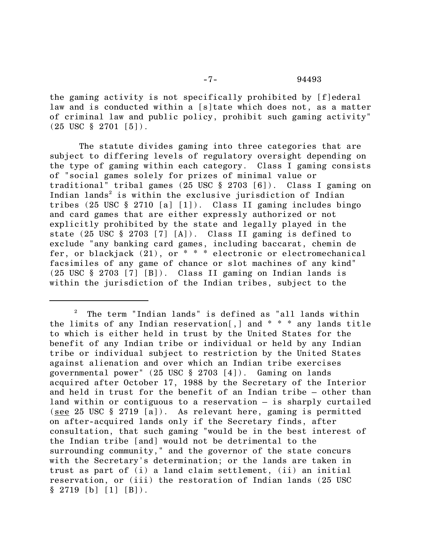the gaming activity is not specifically prohibited by [f]ederal law and is conducted within a [s]tate which does not, as a matter of criminal law and public policy, prohibit such gaming activity"  $(25 \text{ USC} \S 2701 [5])$ .

The statute divides gaming into three categories that are subject to differing levels of regulatory oversight depending on the type of gaming within each category. Class I gaming consists of "social games solely for prizes of minimal value or traditional" tribal games (25 USC § 2703 [6]). Class I gaming on Indian lands<sup>2</sup> is within the exclusive jurisdiction of Indian tribes (25 USC § 2710 [a] [1]). Class II gaming includes bingo and card games that are either expressly authorized or not explicitly prohibited by the state and legally played in the state (25 USC § 2703 [7] [A]). Class II gaming is defined to exclude "any banking card games, including baccarat, chemin de fer, or blackjack (21), or \* \* \* electronic or electromechanical facsimiles of any game of chance or slot machines of any kind" (25 USC § 2703 [7] [B]). Class II gaming on Indian lands is within the jurisdiction of the Indian tribes, subject to the

<sup>2</sup> The term "Indian lands" is defined as "all lands within the limits of any Indian reservation[,] and \* \* \* any lands title to which is either held in trust by the United States for the benefit of any Indian tribe or individual or held by any Indian tribe or individual subject to restriction by the United States against alienation and over which an Indian tribe exercises governmental power" (25 USC § 2703 [4]). Gaming on lands acquired after October 17, 1988 by the Secretary of the Interior and held in trust for the benefit of an Indian tribe – other than land within or contiguous to a reservation – is sharply curtailed (see 25 USC § 2719 [a]). As relevant here, gaming is permitted on after-acquired lands only if the Secretary finds, after consultation, that such gaming "would be in the best interest of the Indian tribe [and] would not be detrimental to the surrounding community," and the governor of the state concurs with the Secretary's determination; or the lands are taken in trust as part of (i) a land claim settlement, (ii) an initial reservation, or (iii) the restoration of Indian lands (25 USC  $§ 2719 [b] [1] [B]).$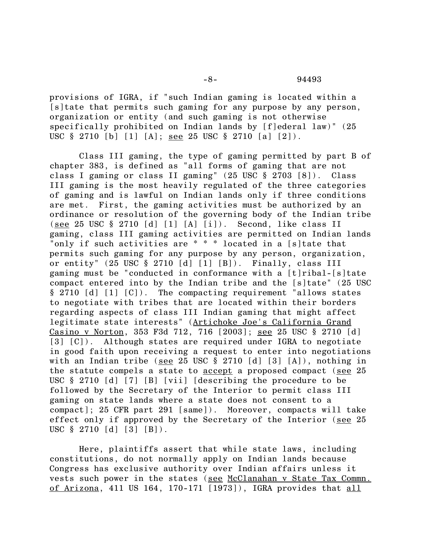provisions of IGRA, if "such Indian gaming is located within a [s]tate that permits such gaming for any purpose by any person, organization or entity (and such gaming is not otherwise specifically prohibited on Indian lands by [f]ederal law)" (25 USC § 2710 [b] [1] [A]; see 25 USC § 2710 [a] [2]).

Class III gaming, the type of gaming permitted by part B of chapter 383, is defined as "all forms of gaming that are not class I gaming or class II gaming" (25 USC § 2703 [8]). Class III gaming is the most heavily regulated of the three categories of gaming and is lawful on Indian lands only if three conditions are met. First, the gaming activities must be authorized by an ordinance or resolution of the governing body of the Indian tribe (see 25 USC § 2710 [d] [1] [A] [i]). Second, like class II gaming, class III gaming activities are permitted on Indian lands "only if such activities are \* \* \* located in a [s]tate that permits such gaming for any purpose by any person, organization, or entity"  $(25 \text{ USC} \S 2710 \text{ [d] } [1] [B])$ . Finally, class III gaming must be "conducted in conformance with a [t]ribal-[s]tate compact entered into by the Indian tribe and the [s]tate" (25 USC § 2710 [d] [1] [C]). The compacting requirement "allows states to negotiate with tribes that are located within their borders regarding aspects of class III Indian gaming that might affect legitimate state interests" (Artichoke Joe's California Grand Casino v Norton, 353 F3d 712, 716 [2003]; see 25 USC § 2710 [d] [3] [C]). Although states are required under IGRA to negotiate in good faith upon receiving a request to enter into negotiations with an Indian tribe (see 25 USC  $\S$  2710 [d] [3] [A]), nothing in the statute compels a state to accept a proposed compact (see 25 USC § 2710 [d] [7] [B] [vii] [describing the procedure to be followed by the Secretary of the Interior to permit class III gaming on state lands where a state does not consent to a compact]; 25 CFR part 291 [same]). Moreover, compacts will take effect only if approved by the Secretary of the Interior (see 25 USC § 2710 [d] [3] [B]).

Here, plaintiffs assert that while state laws, including constitutions, do not normally apply on Indian lands because Congress has exclusive authority over Indian affairs unless it vests such power in the states (see McClanahan v State Tax Commn. of Arizona, 411 US 164, 170-171 [1973]), IGRA provides that all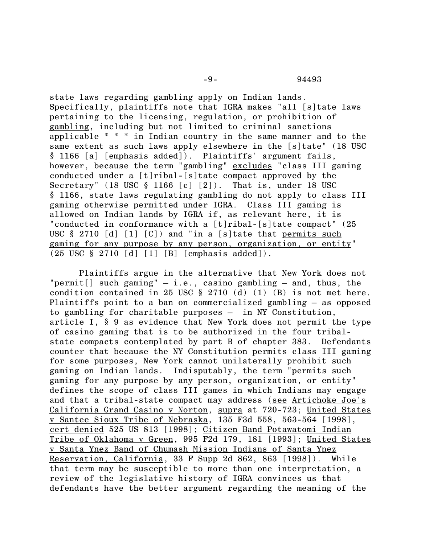state laws regarding gambling apply on Indian lands. Specifically, plaintiffs note that IGRA makes "all [s]tate laws pertaining to the licensing, regulation, or prohibition of gambling, including but not limited to criminal sanctions applicable \* \* \* in Indian country in the same manner and to the same extent as such laws apply elsewhere in the [s]tate" (18 USC § 1166 [a] [emphasis added]). Plaintiffs' argument fails, however, because the term "gambling" excludes "class III gaming conducted under a [t]ribal-[s]tate compact approved by the Secretary" (18 USC  $\S$  1166 [c] [2]). That is, under 18 USC § 1166, state laws regulating gambling do not apply to class III gaming otherwise permitted under IGRA. Class III gaming is allowed on Indian lands by IGRA if, as relevant here, it is "conducted in conformance with a [t]ribal-[s]tate compact" (25 USC § 2710 [d] [1] [C]) and "in a [s]tate that permits such gaming for any purpose by any person, organization, or entity" (25 USC § 2710 [d] [1] [B] [emphasis added]).

Plaintiffs argue in the alternative that New York does not "permit[] such gaming"  $-$  i.e., casino gambling  $-$  and, thus, the condition contained in 25 USC  $\S$  2710 (d) (1) (B) is not met here. Plaintiffs point to a ban on commercialized gambling – as opposed to gambling for charitable purposes – in NY Constitution, article I, § 9 as evidence that New York does not permit the type of casino gaming that is to be authorized in the four tribalstate compacts contemplated by part B of chapter 383. Defendants counter that because the NY Constitution permits class III gaming for some purposes, New York cannot unilaterally prohibit such gaming on Indian lands. Indisputably, the term "permits such gaming for any purpose by any person, organization, or entity" defines the scope of class III games in which Indians may engage and that a tribal-state compact may address (see Artichoke Joe's California Grand Casino v Norton, supra at 720-723; United States v Santee Sioux Tribe of Nebraska, 135 F3d 558, 563-564 [1998], cert denied 525 US 813 [1998]; Citizen Band Potawatomi Indian Tribe of Oklahoma v Green, 995 F2d 179, 181 [1993]; United States v Santa Ynez Band of Chumash Mission Indians of Santa Ynez Reservation, California, 33 F Supp 2d 862, 863 [1998]). While that term may be susceptible to more than one interpretation, a review of the legislative history of IGRA convinces us that defendants have the better argument regarding the meaning of the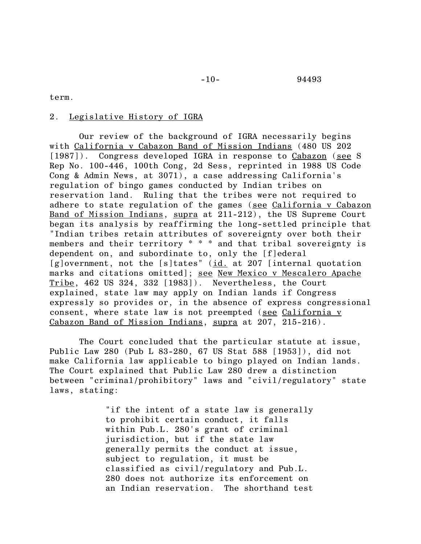term.

## 2. Legislative History of IGRA

Our review of the background of IGRA necessarily begins with California v Cabazon Band of Mission Indians (480 US 202 [1987]). Congress developed IGRA in response to Cabazon (see S Rep No. 100-446, 100th Cong, 2d Sess, reprinted in 1988 US Code Cong & Admin News, at 3071), a case addressing California's regulation of bingo games conducted by Indian tribes on reservation land. Ruling that the tribes were not required to adhere to state regulation of the games (see California v Cabazon Band of Mission Indians, supra at 211-212), the US Supreme Court began its analysis by reaffirming the long-settled principle that "Indian tribes retain attributes of sovereignty over both their members and their territory \* \* \* and that tribal sovereignty is dependent on, and subordinate to, only the [f]ederal [g]overnment, not the [s]tates" (id. at 207 [internal quotation marks and citations omitted]; see New Mexico v Mescalero Apache Tribe, 462 US 324, 332 [1983]). Nevertheless, the Court explained, state law may apply on Indian lands if Congress expressly so provides or, in the absence of express congressional consent, where state law is not preempted (see California v Cabazon Band of Mission Indians, supra at 207, 215-216).

The Court concluded that the particular statute at issue, Public Law 280 (Pub L 83-280, 67 US Stat 588 [1953]), did not make California law applicable to bingo played on Indian lands. The Court explained that Public Law 280 drew a distinction between "criminal/prohibitory" laws and "civil/regulatory" state laws, stating:

> "if the intent of a state law is generally to prohibit certain conduct, it falls within Pub.L. 280's grant of criminal jurisdiction, but if the state law generally permits the conduct at issue, subject to regulation, it must be classified as civil/regulatory and Pub.L. 280 does not authorize its enforcement on an Indian reservation. The shorthand test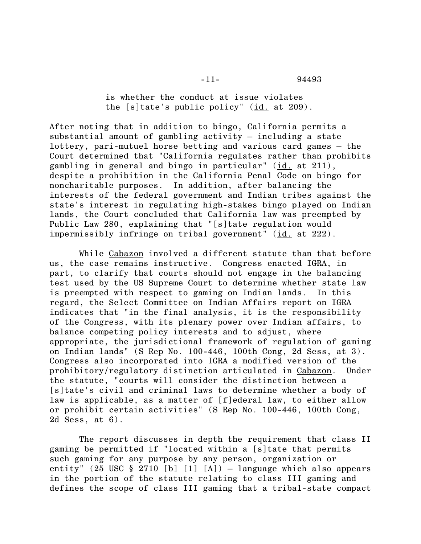-11- 94493

is whether the conduct at issue violates the [s]tate's public policy" (id. at 209).

After noting that in addition to bingo, California permits a substantial amount of gambling activity – including a state lottery, pari-mutuel horse betting and various card games – the Court determined that "California regulates rather than prohibits gambling in general and bingo in particular"  $(id.$  at  $211)$ , despite a prohibition in the California Penal Code on bingo for noncharitable purposes. In addition, after balancing the interests of the federal government and Indian tribes against the state's interest in regulating high-stakes bingo played on Indian lands, the Court concluded that California law was preempted by Public Law 280, explaining that "[s]tate regulation would impermissibly infringe on tribal government"  $(id.$  at  $222)$ .

While Cabazon involved a different statute than that before us, the case remains instructive. Congress enacted IGRA, in part, to clarify that courts should not engage in the balancing test used by the US Supreme Court to determine whether state law is preempted with respect to gaming on Indian lands. In this regard, the Select Committee on Indian Affairs report on IGRA indicates that "in the final analysis, it is the responsibility of the Congress, with its plenary power over Indian affairs, to balance competing policy interests and to adjust, where appropriate, the jurisdictional framework of regulation of gaming on Indian lands" (S Rep No. 100-446, 100th Cong, 2d Sess, at 3). Congress also incorporated into IGRA a modified version of the prohibitory/regulatory distinction articulated in Cabazon. Under the statute, "courts will consider the distinction between a [s]tate's civil and criminal laws to determine whether a body of law is applicable, as a matter of [f]ederal law, to either allow or prohibit certain activities" (S Rep No. 100-446, 100th Cong, 2d Sess, at 6).

The report discusses in depth the requirement that class II gaming be permitted if "located within a [s]tate that permits such gaming for any purpose by any person, organization or entity" (25 USC  $\S$  2710 [b] [1] [A]) - language which also appears in the portion of the statute relating to class III gaming and defines the scope of class III gaming that a tribal-state compact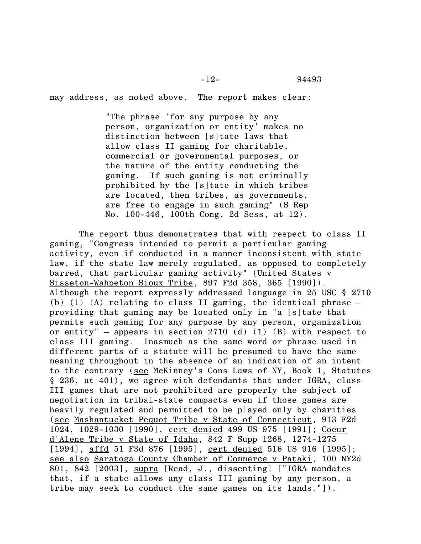may address, as noted above. The report makes clear:

"The phrase 'for any purpose by any person, organization or entity' makes no distinction between [s]tate laws that allow class II gaming for charitable, commercial or governmental purposes, or the nature of the entity conducting the gaming. If such gaming is not criminally prohibited by the [s]tate in which tribes are located, then tribes, as governments, are free to engage in such gaming" (S Rep No. 100-446, 100th Cong, 2d Sess, at 12).

The report thus demonstrates that with respect to class II gaming, "Congress intended to permit a particular gaming activity, even if conducted in a manner inconsistent with state law, if the state law merely regulated, as opposed to completely barred, that particular gaming activity" (United States v Sisseton-Wahpeton Sioux Tribe, 897 F2d 358, 365 [1990]). Although the report expressly addressed language in 25 USC § 2710 (b) (1) (A) relating to class II gaming, the identical phrase – providing that gaming may be located only in "a [s]tate that permits such gaming for any purpose by any person, organization or entity" – appears in section 2710 (d) (1) (B) with respect to class III gaming. Inasmuch as the same word or phrase used in different parts of a statute will be presumed to have the same meaning throughout in the absence of an indication of an intent to the contrary (see McKinney's Cons Laws of NY, Book 1, Statutes § 236, at 401), we agree with defendants that under IGRA, class III games that are not prohibited are properly the subject of negotiation in tribal-state compacts even if those games are heavily regulated and permitted to be played only by charities (see Mashantucket Pequot Tribe v State of Connecticut, 913 F2d 1024, 1029-1030 [1990], cert denied 499 US 975 [1991]; Coeur d'Alene Tribe v State of Idaho, 842 F Supp 1268, 1274-1275 [1994], affd 51 F3d 876 [1995], cert denied 516 US 916 [1995]; see also Saratoga County Chamber of Commerce v Pataki, 100 NY2d 801, 842 [2003], supra [Read, J., dissenting] ["IGRA mandates that, if a state allows any class III gaming by any person, a tribe may seek to conduct the same games on its lands."]).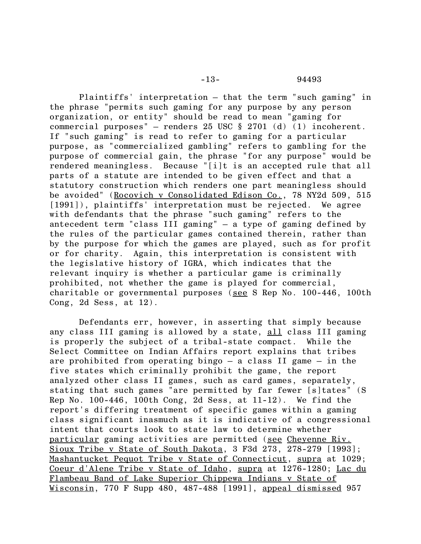-13- 94493

Plaintiffs' interpretation – that the term "such gaming" in the phrase "permits such gaming for any purpose by any person organization, or entity" should be read to mean "gaming for commercial purposes" – renders 25 USC § 2701 (d) (1) incoherent. If "such gaming" is read to refer to gaming for a particular purpose, as "commercialized gambling" refers to gambling for the purpose of commercial gain, the phrase "for any purpose" would be rendered meaningless. Because "[i]t is an accepted rule that all parts of a statute are intended to be given effect and that a statutory construction which renders one part meaningless should be avoided" (Rocovich v Consolidated Edison Co., 78 NY2d 509, 515 [1991]), plaintiffs' interpretation must be rejected. We agree with defendants that the phrase "such gaming" refers to the antecedent term "class III gaming" – a type of gaming defined by the rules of the particular games contained therein, rather than by the purpose for which the games are played, such as for profit or for charity. Again, this interpretation is consistent with the legislative history of IGRA, which indicates that the relevant inquiry is whether a particular game is criminally prohibited, not whether the game is played for commercial, charitable or governmental purposes (see S Rep No. 100-446, 100th Cong, 2d Sess, at 12).

Defendants err, however, in asserting that simply because any class III gaming is allowed by a state, all class III gaming is properly the subject of a tribal-state compact. While the Select Committee on Indian Affairs report explains that tribes are prohibited from operating bingo – a class II game – in the five states which criminally prohibit the game, the report analyzed other class II games, such as card games, separately, stating that such games "are permitted by far fewer [s]tates" (S Rep No.  $100-446$ ,  $100th$  Cong,  $2d$  Sess, at  $11-12$ ). We find the report's differing treatment of specific games within a gaming class significant inasmuch as it is indicative of a congressional intent that courts look to state law to determine whether particular gaming activities are permitted (see Cheyenne Riv. Sioux Tribe v State of South Dakota, 3 F3d 273, 278-279 [1993]; Mashantucket Pequot Tribe v State of Connecticut, supra at 1029; Coeur d'Alene Tribe v State of Idaho, supra at 1276-1280; Lac du Flambeau Band of Lake Superior Chippewa Indians v State of Wisconsin, 770 F Supp 480, 487-488 [1991], appeal dismissed 957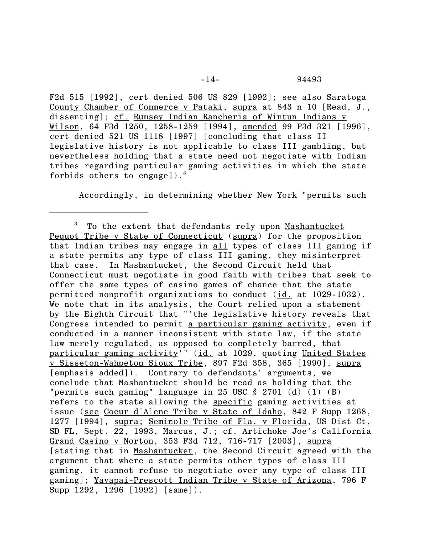F2d 515 [1992], cert denied 506 US 829 [1992]; see also Saratoga County Chamber of Commerce v Pataki, supra at 843 n 10 [Read, J., dissenting]; cf. Rumsey Indian Rancheria of Wintun Indians v Wilson, 64 F3d 1250, 1258-1259 [1994], amended 99 F3d 321 [1996], cert denied 521 US 1118 [1997] [concluding that class II legislative history is not applicable to class III gambling, but nevertheless holding that a state need not negotiate with Indian tribes regarding particular gaming activities in which the state forbids others to engage]).<sup>3</sup>

Accordingly, in determining whether New York "permits such

<sup>3</sup> To the extent that defendants rely upon Mashantucket Pequot Tribe v State of Connecticut (supra) for the proposition that Indian tribes may engage in all types of class III gaming if a state permits any type of class III gaming, they misinterpret that case. In Mashantucket, the Second Circuit held that Connecticut must negotiate in good faith with tribes that seek to offer the same types of casino games of chance that the state permitted nonprofit organizations to conduct (id. at 1029-1032). We note that in its analysis, the Court relied upon a statement by the Eighth Circuit that "'the legislative history reveals that Congress intended to permit a particular gaming activity, even if conducted in a manner inconsistent with state law, if the state law merely regulated, as opposed to completely barred, that particular gaming activity'" (id. at 1029, quoting United States v Sisseton-Wahpeton Sioux Tribe, 897 F2d 358, 365 [1990], supra [emphasis added]). Contrary to defendants' arguments, we conclude that Mashantucket should be read as holding that the "permits such gaming" language in 25 USC § 2701 (d) (1) (B) refers to the state allowing the specific gaming activities at issue (see Coeur d'Alene Tribe v State of Idaho, 842 F Supp 1268, 1277 [1994], supra; Seminole Tribe of Fla. v Florida, US Dist Ct, SD FL, Sept. 22, 1993, Marcus, J.; cf. Artichoke Joe's California Grand Casino v Norton, 353 F3d 712, 716-717 [2003], supra [stating that in Mashantucket, the Second Circuit agreed with the argument that where a state permits other types of class III gaming, it cannot refuse to negotiate over any type of class III gaming]; Yavapai-Prescott Indian Tribe v State of Arizona, 796 F Supp 1292, 1296 [1992] [same]).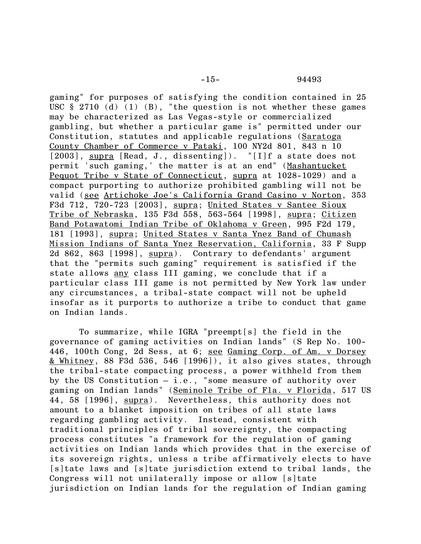gaming" for purposes of satisfying the condition contained in 25 USC  $\S$  2710 (d) (1) (B), "the question is not whether these games may be characterized as Las Vegas-style or commercialized gambling, but whether a particular game is" permitted under our Constitution, statutes and applicable regulations (Saratoga County Chamber of Commerce v Pataki, 100 NY2d 801, 843 n 10 [2003], supra [Read, J., dissenting]). "[I]f a state does not permit 'such gaming,' the matter is at an end" (Mashantucket Pequot Tribe v State of Connecticut, supra at 1028-1029) and a compact purporting to authorize prohibited gambling will not be valid (see Artichoke Joe's California Grand Casino v Norton, 353 F3d 712, 720-723 [2003], supra; United States v Santee Sioux Tribe of Nebraska, 135 F3d 558, 563-564 [1998], supra; Citizen Band Potawatomi Indian Tribe of Oklahoma v Green, 995 F2d 179, 181 [1993], supra; United States v Santa Ynez Band of Chumash Mission Indians of Santa Ynez Reservation, California, 33 F Supp 2d 862, 863 [1998], supra). Contrary to defendants' argument that the "permits such gaming" requirement is satisfied if the state allows any class III gaming, we conclude that if a particular class III game is not permitted by New York law under any circumstances, a tribal-state compact will not be upheld insofar as it purports to authorize a tribe to conduct that game on Indian lands.

To summarize, while IGRA "preempt[s] the field in the governance of gaming activities on Indian lands" (S Rep No. 100- 446, 100th Cong, 2d Sess, at 6; see Gaming Corp. of Am. v Dorsey & Whitney, 88 F3d 536, 546 [1996]), it also gives states, through the tribal-state compacting process, a power withheld from them by the US Constitution – i.e., "some measure of authority over gaming on Indian lands" (Seminole Tribe of Fla. v Florida, 517 US 44, 58 [1996], supra). Nevertheless, this authority does not amount to a blanket imposition on tribes of all state laws regarding gambling activity. Instead, consistent with traditional principles of tribal sovereignty, the compacting process constitutes "a framework for the regulation of gaming activities on Indian lands which provides that in the exercise of its sovereign rights, unless a tribe affirmatively elects to have [s]tate laws and [s]tate jurisdiction extend to tribal lands, the Congress will not unilaterally impose or allow [s]tate jurisdiction on Indian lands for the regulation of Indian gaming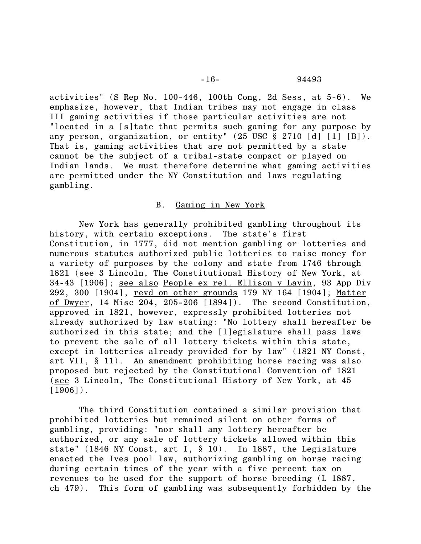activities" (S Rep No. 100-446, 100th Cong, 2d Sess, at 5-6). We emphasize, however, that Indian tribes may not engage in class III gaming activities if those particular activities are not "located in a [s]tate that permits such gaming for any purpose by any person, organization, or entity" (25 USC § 2710 [d] [1] [B]). That is, gaming activities that are not permitted by a state cannot be the subject of a tribal-state compact or played on Indian lands. We must therefore determine what gaming activities are permitted under the NY Constitution and laws regulating gambling.

#### B. Gaming in New York

New York has generally prohibited gambling throughout its history, with certain exceptions. The state's first Constitution, in 1777, did not mention gambling or lotteries and numerous statutes authorized public lotteries to raise money for a variety of purposes by the colony and state from 1746 through 1821 (see 3 Lincoln, The Constitutional History of New York, at 34-43 [1906]; see also People ex rel. Ellison v Lavin, 93 App Div 292, 300 [1904], revd on other grounds 179 NY 164 [1904]; Matter of Dwyer, 14 Misc 204, 205-206 [1894]). The second Constitution, approved in 1821, however, expressly prohibited lotteries not already authorized by law stating: "No lottery shall hereafter be authorized in this state; and the [l]egislature shall pass laws to prevent the sale of all lottery tickets within this state, except in lotteries already provided for by law" (1821 NY Const, art VII, § 11). An amendment prohibiting horse racing was also proposed but rejected by the Constitutional Convention of 1821 (see 3 Lincoln, The Constitutional History of New York, at 45  $[1906]$ .

The third Constitution contained a similar provision that prohibited lotteries but remained silent on other forms of gambling, providing: "nor shall any lottery hereafter be authorized, or any sale of lottery tickets allowed within this state" (1846 NY Const, art I, § 10). In 1887, the Legislature enacted the Ives pool law, authorizing gambling on horse racing during certain times of the year with a five percent tax on revenues to be used for the support of horse breeding (L 1887, ch 479). This form of gambling was subsequently forbidden by the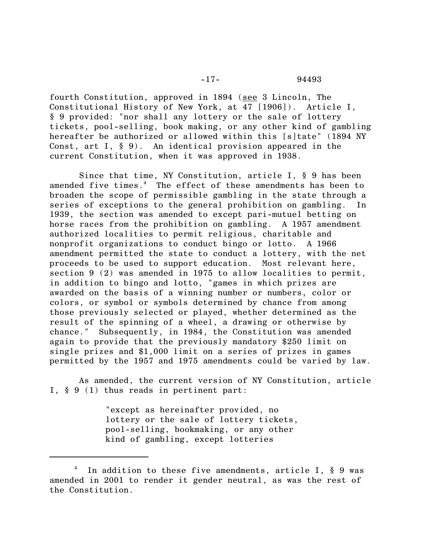fourth Constitution, approved in 1894 (see 3 Lincoln, The Constitutional History of New York, at 47 [1906]). Article I, § 9 provided: "nor shall any lottery or the sale of lottery tickets, pool-selling, book making, or any other kind of gambling hereafter be authorized or allowed within this [s]tate" (1894 NY Const, art I, § 9). An identical provision appeared in the current Constitution, when it was approved in 1938.

Since that time, NY Constitution, article I, § 9 has been amended five times.<sup>4</sup> The effect of these amendments has been to broaden the scope of permissible gambling in the state through a series of exceptions to the general prohibition on gambling. In 1939, the section was amended to except pari-mutuel betting on horse races from the prohibition on gambling. A 1957 amendment authorized localities to permit religious, charitable and nonprofit organizations to conduct bingo or lotto. A 1966 amendment permitted the state to conduct a lottery, with the net proceeds to be used to support education. Most relevant here, section 9 (2) was amended in 1975 to allow localities to permit, in addition to bingo and lotto, "games in which prizes are awarded on the basis of a winning number or numbers, color or colors, or symbol or symbols determined by chance from among those previously selected or played, whether determined as the result of the spinning of a wheel, a drawing or otherwise by chance." Subsequently, in 1984, the Constitution was amended again to provide that the previously mandatory \$250 limit on single prizes and \$1,000 limit on a series of prizes in games permitted by the 1957 and 1975 amendments could be varied by law.

As amended, the current version of NY Constitution, article I, § 9 (1) thus reads in pertinent part:

> "except as hereinafter provided, no lottery or the sale of lottery tickets, pool-selling, bookmaking, or any other kind of gambling, except lotteries

<sup>4</sup> In addition to these five amendments, article I, § 9 was amended in 2001 to render it gender neutral, as was the rest of the Constitution.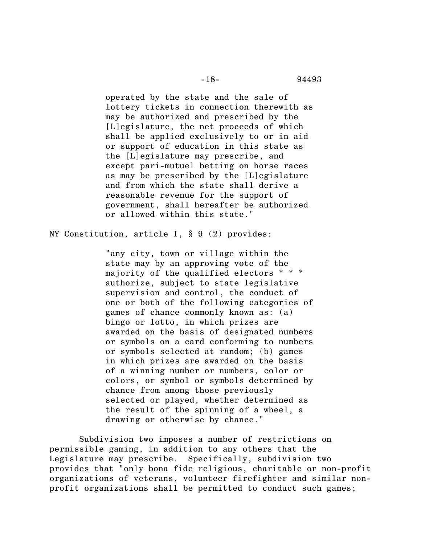operated by the state and the sale of lottery tickets in connection therewith as may be authorized and prescribed by the [L]egislature, the net proceeds of which shall be applied exclusively to or in aid or support of education in this state as the [L]egislature may prescribe, and except pari-mutuel betting on horse races as may be prescribed by the [L]egislature and from which the state shall derive a reasonable revenue for the support of government, shall hereafter be authorized or allowed within this state."

NY Constitution, article I, § 9 (2) provides:

"any city, town or village within the state may by an approving vote of the majority of the qualified electors \* \* \* authorize, subject to state legislative supervision and control, the conduct of one or both of the following categories of games of chance commonly known as: (a) bingo or lotto, in which prizes are awarded on the basis of designated numbers or symbols on a card conforming to numbers or symbols selected at random; (b) games in which prizes are awarded on the basis of a winning number or numbers, color or colors, or symbol or symbols determined by chance from among those previously selected or played, whether determined as the result of the spinning of a wheel, a drawing or otherwise by chance."

Subdivision two imposes a number of restrictions on permissible gaming, in addition to any others that the Legislature may prescribe. Specifically, subdivision two provides that "only bona fide religious, charitable or non-profit organizations of veterans, volunteer firefighter and similar nonprofit organizations shall be permitted to conduct such games;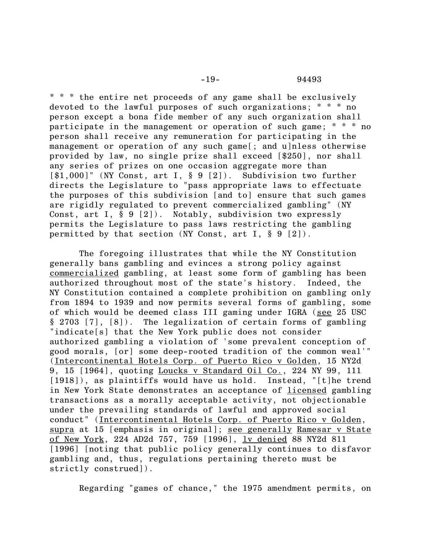\* \* \* the entire net proceeds of any game shall be exclusively devoted to the lawful purposes of such organizations; \* \* \* no person except a bona fide member of any such organization shall participate in the management or operation of such game; \* \* \* no person shall receive any remuneration for participating in the management or operation of any such game[; and u]nless otherwise provided by law, no single prize shall exceed [\$250], nor shall any series of prizes on one occasion aggregate more than [\$1,000]" (NY Const, art I, § 9 [2]). Subdivision two further directs the Legislature to "pass appropriate laws to effectuate the purposes of this subdivision [and to] ensure that such games are rigidly regulated to prevent commercialized gambling" (NY Const, art I, § 9 [2]). Notably, subdivision two expressly permits the Legislature to pass laws restricting the gambling permitted by that section (NY Const, art I, § 9 [2]).

The foregoing illustrates that while the NY Constitution generally bans gambling and evinces a strong policy against commercialized gambling, at least some form of gambling has been authorized throughout most of the state's history. Indeed, the NY Constitution contained a complete prohibition on gambling only from 1894 to 1939 and now permits several forms of gambling, some of which would be deemed class III gaming under IGRA (see 25 USC § 2703 [7], [8]). The legalization of certain forms of gambling "indicate[s] that the New York public does not consider authorized gambling a violation of 'some prevalent conception of good morals, [or] some deep-rooted tradition of the common weal'" (Intercontinental Hotels Corp. of Puerto Rico v Golden, 15 NY2d 9, 15 [1964], quoting Loucks v Standard Oil Co., 224 NY 99, 111 [1918]), as plaintiffs would have us hold. Instead, "[t]he trend in New York State demonstrates an acceptance of licensed gambling transactions as a morally acceptable activity, not objectionable under the prevailing standards of lawful and approved social conduct" (Intercontinental Hotels Corp. of Puerto Rico v Golden, supra at 15 [emphasis in original]; see generally Ramesar v State of New York, 224 AD2d 757, 759 [1996], lv denied 88 NY2d 811 [1996] [noting that public policy generally continues to disfavor gambling and, thus, regulations pertaining thereto must be strictly construed]).

Regarding "games of chance," the 1975 amendment permits, on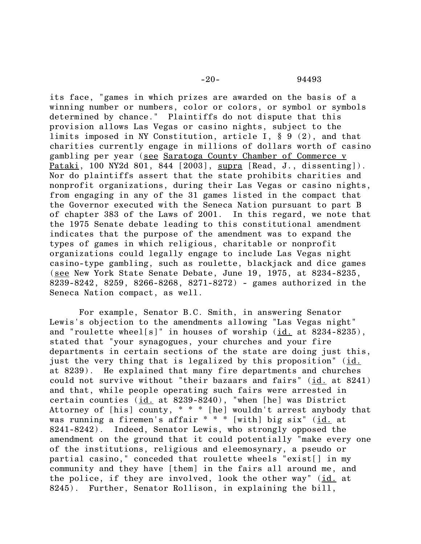-20- 94493

its face, "games in which prizes are awarded on the basis of a winning number or numbers, color or colors, or symbol or symbols determined by chance." Plaintiffs do not dispute that this provision allows Las Vegas or casino nights, subject to the limits imposed in NY Constitution, article I, § 9 (2), and that charities currently engage in millions of dollars worth of casino gambling per year (see Saratoga County Chamber of Commerce v Pataki, 100 NY2d 801, 844 [2003], supra [Read, J., dissenting]). Nor do plaintiffs assert that the state prohibits charities and nonprofit organizations, during their Las Vegas or casino nights, from engaging in any of the 31 games listed in the compact that the Governor executed with the Seneca Nation pursuant to part B of chapter 383 of the Laws of 2001. In this regard, we note that the 1975 Senate debate leading to this constitutional amendment indicates that the purpose of the amendment was to expand the types of games in which religious, charitable or nonprofit organizations could legally engage to include Las Vegas night casino-type gambling, such as roulette, blackjack and dice games (see New York State Senate Debate, June 19, 1975, at 8234-8235, 8239-8242, 8259, 8266-8268, 8271-8272) - games authorized in the Seneca Nation compact, as well.

For example, Senator B.C. Smith, in answering Senator Lewis's objection to the amendments allowing "Las Vegas night" and "roulette wheel[s]" in houses of worship (id. at 8234-8235), stated that "your synagogues, your churches and your fire departments in certain sections of the state are doing just this, just the very thing that is legalized by this proposition" (id. at 8239). He explained that many fire departments and churches could not survive without "their bazaars and fairs"  $(id.$  at 8241) and that, while people operating such fairs were arrested in certain counties  $(id.$  at 8239-8240), "when [he] was District Attorney of [his] county, \* \* \* [he] wouldn't arrest anybody that was running a firemen's affair \* \* \* [with] big six" (id. at 8241-8242). Indeed, Senator Lewis, who strongly opposed the amendment on the ground that it could potentially "make every one of the institutions, religious and eleemosynary, a pseudo or partial casino," conceded that roulette wheels "exist[] in my community and they have [them] in the fairs all around me, and the police, if they are involved, look the other way" (id. at 8245). Further, Senator Rollison, in explaining the bill,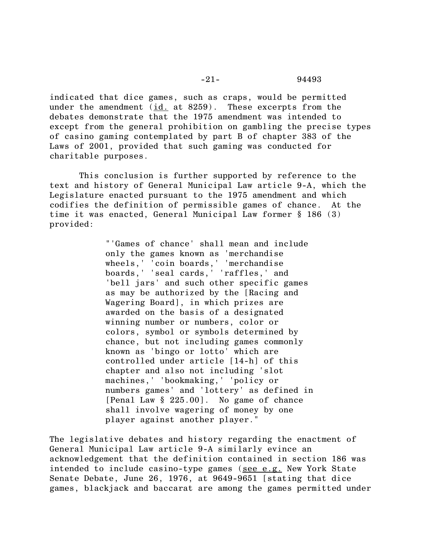indicated that dice games, such as craps, would be permitted under the amendment (id. at 8259). These excerpts from the debates demonstrate that the 1975 amendment was intended to except from the general prohibition on gambling the precise types of casino gaming contemplated by part B of chapter 383 of the Laws of 2001, provided that such gaming was conducted for charitable purposes.

This conclusion is further supported by reference to the text and history of General Municipal Law article 9-A, which the Legislature enacted pursuant to the 1975 amendment and which codifies the definition of permissible games of chance. At the time it was enacted, General Municipal Law former § 186 (3) provided:

> "'Games of chance' shall mean and include only the games known as 'merchandise wheels,' 'coin boards,' 'merchandise boards,' 'seal cards,' 'raffles,' and 'bell jars' and such other specific games as may be authorized by the [Racing and Wagering Board], in which prizes are awarded on the basis of a designated winning number or numbers, color or colors, symbol or symbols determined by chance, but not including games commonly known as 'bingo or lotto' which are controlled under article [14-h] of this chapter and also not including 'slot machines,' 'bookmaking,' 'policy or numbers games' and 'lottery' as defined in [Penal Law § 225.00]. No game of chance shall involve wagering of money by one player against another player."

The legislative debates and history regarding the enactment of General Municipal Law article 9-A similarly evince an acknowledgement that the definition contained in section 186 was intended to include casino-type games (see e.g. New York State Senate Debate, June 26, 1976, at 9649-9651 [stating that dice games, blackjack and baccarat are among the games permitted under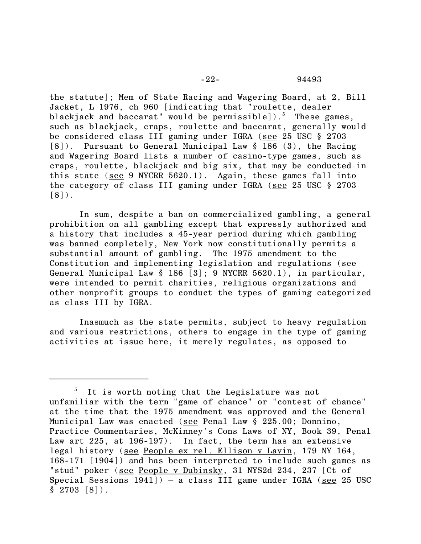the statute]; Mem of State Racing and Wagering Board, at 2, Bill Jacket, L 1976, ch 960 [indicating that "roulette, dealer blackjack and baccarat" would be permissible]). $^5$  These games, such as blackjack, craps, roulette and baccarat, generally would be considered class III gaming under IGRA (see 25 USC § 2703 [8]). Pursuant to General Municipal Law § 186 (3), the Racing and Wagering Board lists a number of casino-type games, such as craps, roulette, blackjack and big six, that may be conducted in this state (see 9 NYCRR 5620.1). Again, these games fall into the category of class III gaming under IGRA (see 25 USC § 2703  $[8]$ .

In sum, despite a ban on commercialized gambling, a general prohibition on all gambling except that expressly authorized and a history that includes a 45-year period during which gambling was banned completely, New York now constitutionally permits a substantial amount of gambling. The 1975 amendment to the Constitution and implementing legislation and regulations (see General Municipal Law § 186 [3]; 9 NYCRR 5620.1), in particular, were intended to permit charities, religious organizations and other nonprofit groups to conduct the types of gaming categorized as class III by IGRA.

Inasmuch as the state permits, subject to heavy regulation and various restrictions, others to engage in the type of gaming activities at issue here, it merely regulates, as opposed to

 $5$  It is worth noting that the Legislature was not unfamiliar with the term "game of chance" or "contest of chance" at the time that the 1975 amendment was approved and the General Municipal Law was enacted (see Penal Law § 225.00; Donnino, Practice Commentaries, McKinney's Cons Laws of NY, Book 39, Penal Law art 225, at 196-197). In fact, the term has an extensive legal history (see People ex rel. Ellison v Lavin, 179 NY 164, 168-171 [1904]) and has been interpreted to include such games as "stud" poker (see People v Dubinsky, 31 NYS2d 234, 237 [Ct of Special Sessions  $1941$ ]) – a class III game under IGRA (see 25 USC  $§ 2703 [8]$ .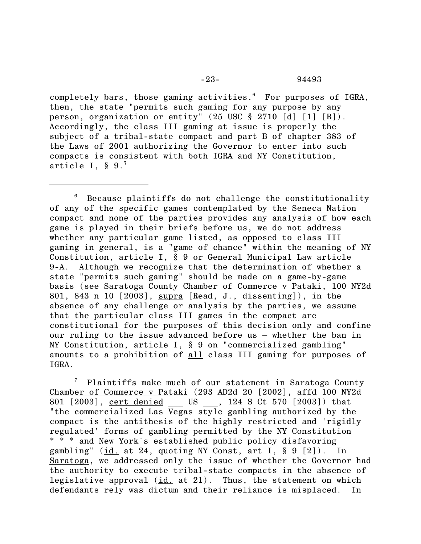-23- 94493

completely bars, those gaming activities. $6$  For purposes of IGRA, then, the state "permits such gaming for any purpose by any person, organization or entity" (25 USC § 2710 [d] [1] [B]). Accordingly, the class III gaming at issue is properly the subject of a tribal-state compact and part B of chapter 383 of the Laws of 2001 authorizing the Governor to enter into such compacts is consistent with both IGRA and NY Constitution, article I,  $\S$  9.<sup>7</sup>

 $6$  Because plaintiffs do not challenge the constitutionality of any of the specific games contemplated by the Seneca Nation compact and none of the parties provides any analysis of how each game is played in their briefs before us, we do not address whether any particular game listed, as opposed to class III gaming in general, is a "game of chance" within the meaning of NY Constitution, article I, § 9 or General Municipal Law article 9-A. Although we recognize that the determination of whether a state "permits such gaming" should be made on a game-by-game basis (see Saratoga County Chamber of Commerce v Pataki, 100 NY2d 801, 843 n 10 [2003], supra [Read, J., dissenting]), in the absence of any challenge or analysis by the parties, we assume that the particular class III games in the compact are constitutional for the purposes of this decision only and confine our ruling to the issue advanced before us – whether the ban in NY Constitution, article I, § 9 on "commercialized gambling" amounts to a prohibition of all class III gaming for purposes of IGRA.

7 Plaintiffs make much of our statement in Saratoga County Chamber of Commerce v Pataki (293 AD2d 20 [2002], affd 100 NY2d 801 [2003], cert denied \_\_\_ US \_\_\_, 124 S Ct 570 [2003]) that "the commercialized Las Vegas style gambling authorized by the compact is the antithesis of the highly restricted and 'rigidly regulated' forms of gambling permitted by the NY Constitution \* \* \* and New York's established public policy disfavoring gambling" (id. at 24, quoting NY Const, art I, § 9 [2]). In Saratoga, we addressed only the issue of whether the Governor had the authority to execute tribal-state compacts in the absence of legislative approval (id. at 21). Thus, the statement on which defendants rely was dictum and their reliance is misplaced. In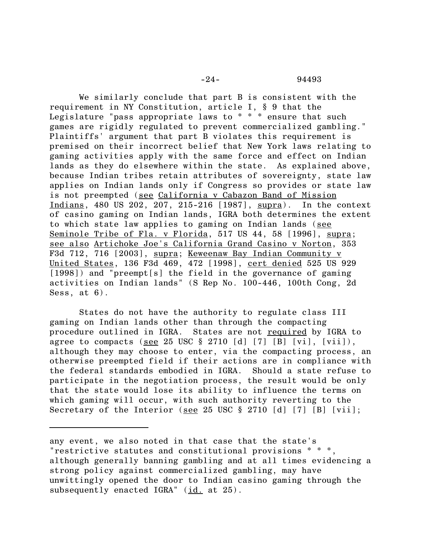We similarly conclude that part B is consistent with the requirement in NY Constitution, article I, § 9 that the Legislature "pass appropriate laws to \* \* \* ensure that such games are rigidly regulated to prevent commercialized gambling." Plaintiffs' argument that part B violates this requirement is premised on their incorrect belief that New York laws relating to gaming activities apply with the same force and effect on Indian lands as they do elsewhere within the state. As explained above, because Indian tribes retain attributes of sovereignty, state law applies on Indian lands only if Congress so provides or state law is not preempted (see California v Cabazon Band of Mission Indians, 480 US 202, 207, 215-216 [1987], supra). In the context of casino gaming on Indian lands, IGRA both determines the extent to which state law applies to gaming on Indian lands (see Seminole Tribe of Fla. v Florida, 517 US 44, 58 [1996], supra; see also Artichoke Joe's California Grand Casino v Norton, 353 F3d 712, 716 [2003], supra; Keweenaw Bay Indian Community v United States, 136 F3d 469, 472 [1998], cert denied 525 US 929 [1998]) and "preempt[s] the field in the governance of gaming activities on Indian lands" (S Rep No. 100-446, 100th Cong, 2d Sess, at 6).

States do not have the authority to regulate class III gaming on Indian lands other than through the compacting procedure outlined in IGRA. States are not required by IGRA to agree to compacts (see 25 USC  $\S$  2710 [d] [7] [B] [vi], [vii]), although they may choose to enter, via the compacting process, an otherwise preempted field if their actions are in compliance with the federal standards embodied in IGRA. Should a state refuse to participate in the negotiation process, the result would be only that the state would lose its ability to influence the terms on which gaming will occur, with such authority reverting to the Secretary of the Interior (see 25 USC § 2710 [d] [7] [B] [vii];

any event, we also noted in that case that the state's "restrictive statutes and constitutional provisions \* \* \*, although generally banning gambling and at all times evidencing a strong policy against commercialized gambling, may have unwittingly opened the door to Indian casino gaming through the subsequently enacted IGRA"  $(id.$  at  $25)$ .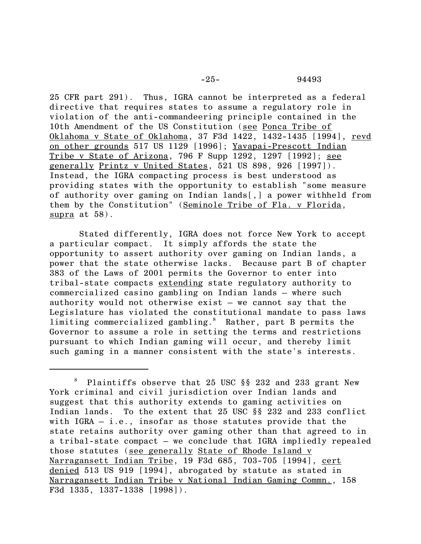25 CFR part 291). Thus, IGRA cannot be interpreted as a federal directive that requires states to assume a regulatory role in violation of the anti-commandeering principle contained in the 10th Amendment of the US Constitution (see Ponca Tribe of Oklahoma v State of Oklahoma, 37 F3d 1422, 1432-1435 [1994], revd on other grounds 517 US 1129 [1996]; Yavapai-Prescott Indian Tribe v State of Arizona, 796 F Supp 1292, 1297 [1992]; see generally Printz v United States, 521 US 898, 926 [1997]). Instead, the IGRA compacting process is best understood as providing states with the opportunity to establish "some measure of authority over gaming on Indian lands[,] a power withheld from them by the Constitution" (Seminole Tribe of Fla. v Florida, supra at  $58$ .

Stated differently, IGRA does not force New York to accept a particular compact. It simply affords the state the opportunity to assert authority over gaming on Indian lands, a power that the state otherwise lacks. Because part B of chapter 383 of the Laws of 2001 permits the Governor to enter into tribal-state compacts extending state regulatory authority to commercialized casino gambling on Indian lands – where such authority would not otherwise exist – we cannot say that the Legislature has violated the constitutional mandate to pass laws limiting commercialized gambling.<sup>8</sup> Rather, part B permits the Governor to assume a role in setting the terms and restrictions pursuant to which Indian gaming will occur, and thereby limit such gaming in a manner consistent with the state's interests.

<sup>8</sup> Plaintiffs observe that 25 USC §§ 232 and 233 grant New York criminal and civil jurisdiction over Indian lands and suggest that this authority extends to gaming activities on Indian lands. To the extent that 25 USC §§ 232 and 233 conflict with IGRA – i.e., insofar as those statutes provide that the state retains authority over gaming other than that agreed to in a tribal-state compact – we conclude that IGRA impliedly repealed those statutes (see generally State of Rhode Island v Narragansett Indian Tribe, 19 F3d 685, 703-705 [1994], cert denied 513 US 919 [1994], abrogated by statute as stated in Narragansett Indian Tribe v National Indian Gaming Commn., 158 F3d 1335, 1337-1338 [1998]).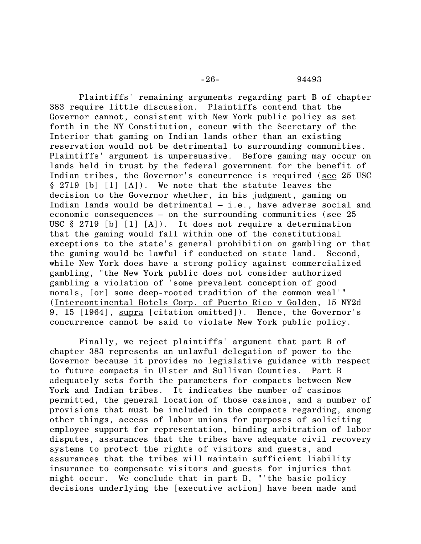-26- 94493

Plaintiffs' remaining arguments regarding part B of chapter 383 require little discussion. Plaintiffs contend that the Governor cannot, consistent with New York public policy as set forth in the NY Constitution, concur with the Secretary of the Interior that gaming on Indian lands other than an existing reservation would not be detrimental to surrounding communities. Plaintiffs' argument is unpersuasive. Before gaming may occur on lands held in trust by the federal government for the benefit of Indian tribes, the Governor's concurrence is required (see 25 USC § 2719 [b] [1] [A]). We note that the statute leaves the decision to the Governor whether, in his judgment, gaming on Indian lands would be detrimental – i.e., have adverse social and economic consequences – on the surrounding communities (see  $25$ USC § 2719 [b] [1] [A]). It does not require a determination that the gaming would fall within one of the constitutional exceptions to the state's general prohibition on gambling or that the gaming would be lawful if conducted on state land. Second, while New York does have a strong policy against commercialized gambling, "the New York public does not consider authorized gambling a violation of 'some prevalent conception of good morals, [or] some deep-rooted tradition of the common weal'" (Intercontinental Hotels Corp. of Puerto Rico v Golden, 15 NY2d 9, 15 [1964], supra [citation omitted]). Hence, the Governor's concurrence cannot be said to violate New York public policy.

Finally, we reject plaintiffs' argument that part B of chapter 383 represents an unlawful delegation of power to the Governor because it provides no legislative guidance with respect to future compacts in Ulster and Sullivan Counties. Part B adequately sets forth the parameters for compacts between New York and Indian tribes. It indicates the number of casinos permitted, the general location of those casinos, and a number of provisions that must be included in the compacts regarding, among other things, access of labor unions for purposes of soliciting employee support for representation, binding arbitration of labor disputes, assurances that the tribes have adequate civil recovery systems to protect the rights of visitors and guests, and assurances that the tribes will maintain sufficient liability insurance to compensate visitors and guests for injuries that might occur. We conclude that in part B, "'the basic policy decisions underlying the [executive action] have been made and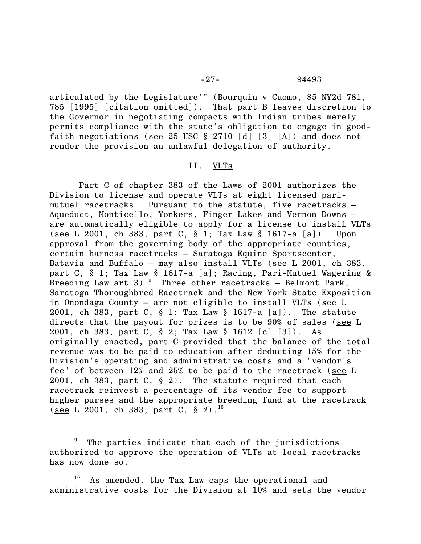articulated by the Legislature'" (Bourquin v Cuomo, 85 NY2d 781, 785 [1995] [citation omitted]). That part B leaves discretion to the Governor in negotiating compacts with Indian tribes merely permits compliance with the state's obligation to engage in goodfaith negotiations (see 25 USC § 2710 [d] [3] [A]) and does not render the provision an unlawful delegation of authority.

#### II. VLTs

Part C of chapter 383 of the Laws of 2001 authorizes the Division to license and operate VLTs at eight licensed parimutuel racetracks. Pursuant to the statute, five racetracks – Aqueduct, Monticello, Yonkers, Finger Lakes and Vernon Downs – are automatically eligible to apply for a license to install VLTs (see L 2001, ch 383, part C, § 1; Tax Law § 1617-a [a]). Upon approval from the governing body of the appropriate counties, certain harness racetracks – Saratoga Equine Sportscenter, Batavia and Buffalo – may also install VLTs (see L 2001, ch 383, part C, § 1; Tax Law § 1617-a [a]; Racing, Pari-Mutuel Wagering & Breeding Law art  $3)$ . $^{9}$  Three other racetracks - Belmont Park, Saratoga Thoroughbred Racetrack and the New York State Exposition in Onondaga County – are not eligible to install VLTs (see L 2001, ch 383, part C, § 1; Tax Law § 1617-a [a]). The statute directs that the payout for prizes is to be 90% of sales (see L 2001, ch 383, part C, § 2; Tax Law § 1612 [c] [3]). As originally enacted, part C provided that the balance of the total revenue was to be paid to education after deducting 15% for the Division's operating and administrative costs and a "vendor's fee" of between 12% and 25% to be paid to the racetrack (see L 2001, ch 383, part C, § 2). The statute required that each racetrack reinvest a percentage of its vendor fee to support higher purses and the appropriate breeding fund at the racetrack (see L 2001, ch 383, part C,  $\S 2$ ).<sup>10</sup>

<sup>9</sup> The parties indicate that each of the jurisdictions authorized to approve the operation of VLTs at local racetracks has now done so.

 $10$  As amended, the Tax Law caps the operational and administrative costs for the Division at 10% and sets the vendor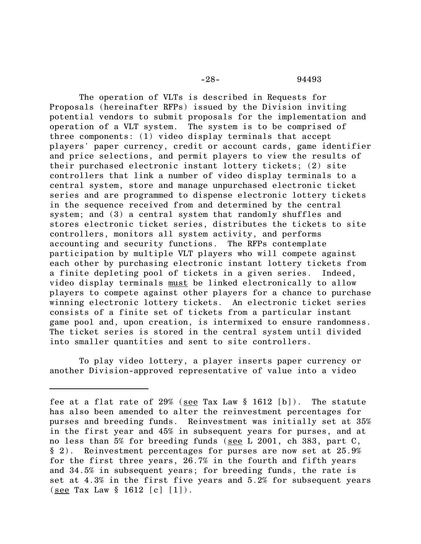-28- 94493

The operation of VLTs is described in Requests for Proposals (hereinafter RFPs) issued by the Division inviting potential vendors to submit proposals for the implementation and operation of a VLT system. The system is to be comprised of three components: (1) video display terminals that accept players' paper currency, credit or account cards, game identifier and price selections, and permit players to view the results of their purchased electronic instant lottery tickets; (2) site controllers that link a number of video display terminals to a central system, store and manage unpurchased electronic ticket series and are programmed to dispense electronic lottery tickets in the sequence received from and determined by the central system; and (3) a central system that randomly shuffles and stores electronic ticket series, distributes the tickets to site controllers, monitors all system activity, and performs accounting and security functions. The RFPs contemplate participation by multiple VLT players who will compete against each other by purchasing electronic instant lottery tickets from a finite depleting pool of tickets in a given series. Indeed, video display terminals must be linked electronically to allow players to compete against other players for a chance to purchase winning electronic lottery tickets. An electronic ticket series consists of a finite set of tickets from a particular instant game pool and, upon creation, is intermixed to ensure randomness. The ticket series is stored in the central system until divided into smaller quantities and sent to site controllers.

To play video lottery, a player inserts paper currency or another Division-approved representative of value into a video

fee at a flat rate of 29% (see Tax Law  $\S$  1612 [b]). The statute has also been amended to alter the reinvestment percentages for purses and breeding funds. Reinvestment was initially set at 35% in the first year and 45% in subsequent years for purses, and at no less than 5% for breeding funds (see L 2001, ch 383, part C, § 2). Reinvestment percentages for purses are now set at 25.9% for the first three years, 26.7% in the fourth and fifth years and 34.5% in subsequent years; for breeding funds, the rate is set at 4.3% in the first five years and 5.2% for subsequent years (see Tax Law  $\S$  1612 [c] [1]).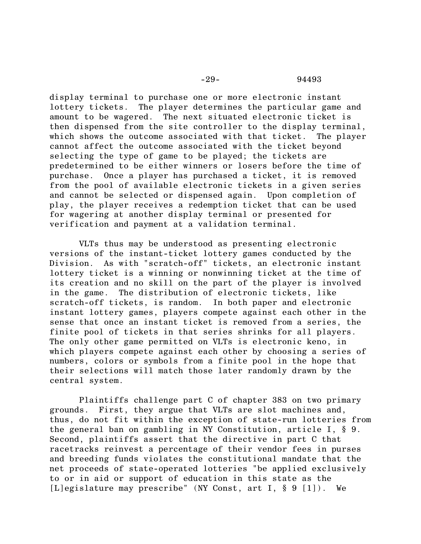display terminal to purchase one or more electronic instant lottery tickets. The player determines the particular game and amount to be wagered. The next situated electronic ticket is then dispensed from the site controller to the display terminal, which shows the outcome associated with that ticket. The player cannot affect the outcome associated with the ticket beyond selecting the type of game to be played; the tickets are predetermined to be either winners or losers before the time of purchase. Once a player has purchased a ticket, it is removed from the pool of available electronic tickets in a given series and cannot be selected or dispensed again. Upon completion of play, the player receives a redemption ticket that can be used for wagering at another display terminal or presented for verification and payment at a validation terminal.

VLTs thus may be understood as presenting electronic versions of the instant-ticket lottery games conducted by the Division. As with "scratch-off" tickets, an electronic instant lottery ticket is a winning or nonwinning ticket at the time of its creation and no skill on the part of the player is involved in the game. The distribution of electronic tickets, like scratch-off tickets, is random. In both paper and electronic instant lottery games, players compete against each other in the sense that once an instant ticket is removed from a series, the finite pool of tickets in that series shrinks for all players. The only other game permitted on VLTs is electronic keno, in which players compete against each other by choosing a series of numbers, colors or symbols from a finite pool in the hope that their selections will match those later randomly drawn by the central system.

Plaintiffs challenge part C of chapter 383 on two primary grounds. First, they argue that VLTs are slot machines and, thus, do not fit within the exception of state-run lotteries from the general ban on gambling in NY Constitution, article I, § 9. Second, plaintiffs assert that the directive in part C that racetracks reinvest a percentage of their vendor fees in purses and breeding funds violates the constitutional mandate that the net proceeds of state-operated lotteries "be applied exclusively to or in aid or support of education in this state as the [L]egislature may prescribe" (NY Const, art I, § 9 [1]). We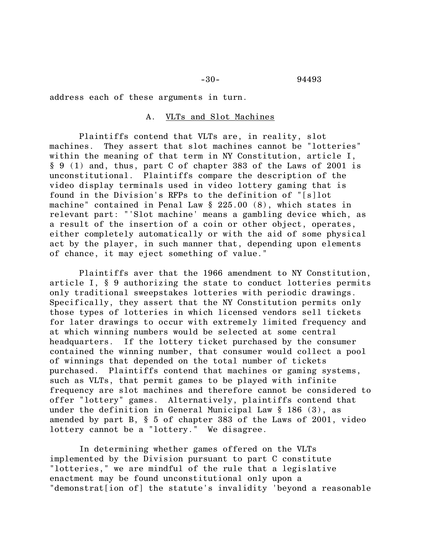address each of these arguments in turn.

### A. VLTs and Slot Machines

Plaintiffs contend that VLTs are, in reality, slot machines. They assert that slot machines cannot be "lotteries" within the meaning of that term in NY Constitution, article I, § 9 (1) and, thus, part C of chapter 383 of the Laws of 2001 is unconstitutional. Plaintiffs compare the description of the video display terminals used in video lottery gaming that is found in the Division's RFPs to the definition of "[s]lot machine" contained in Penal Law § 225.00 (8), which states in relevant part: "'Slot machine' means a gambling device which, as a result of the insertion of a coin or other object, operates, either completely automatically or with the aid of some physical act by the player, in such manner that, depending upon elements of chance, it may eject something of value."

Plaintiffs aver that the 1966 amendment to NY Constitution, article I, § 9 authorizing the state to conduct lotteries permits only traditional sweepstakes lotteries with periodic drawings. Specifically, they assert that the NY Constitution permits only those types of lotteries in which licensed vendors sell tickets for later drawings to occur with extremely limited frequency and at which winning numbers would be selected at some central headquarters. If the lottery ticket purchased by the consumer contained the winning number, that consumer would collect a pool of winnings that depended on the total number of tickets purchased. Plaintiffs contend that machines or gaming systems, such as VLTs, that permit games to be played with infinite frequency are slot machines and therefore cannot be considered to offer "lottery" games. Alternatively, plaintiffs contend that under the definition in General Municipal Law § 186 (3), as amended by part B, § 5 of chapter 383 of the Laws of 2001, video lottery cannot be a "lottery." We disagree.

In determining whether games offered on the VLTs implemented by the Division pursuant to part C constitute "lotteries," we are mindful of the rule that a legislative enactment may be found unconstitutional only upon a "demonstrat[ion of] the statute's invalidity 'beyond a reasonable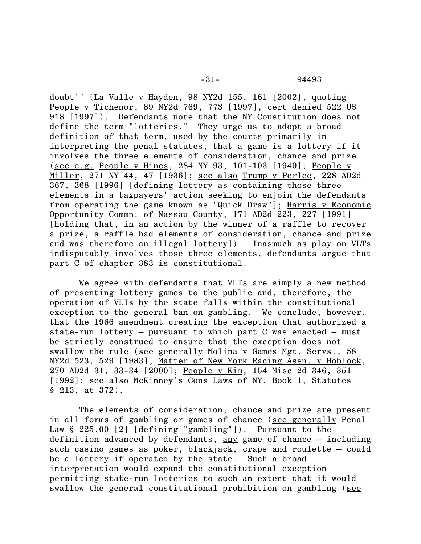-31- 94493

doubt'" (La Valle v Hayden, 98 NY2d 155, 161 [2002], quoting People v Tichenor, 89 NY2d 769, 773 [1997], cert denied 522 US 918 [1997]). Defendants note that the NY Constitution does not define the term "lotteries." They urge us to adopt a broad definition of that term, used by the courts primarily in interpreting the penal statutes, that a game is a lottery if it involves the three elements of consideration, chance and prize (see e.g. People v Hines, 284 NY 93, 101-103 [1940]; People v Miller, 271 NY 44, 47 [1936]; see also Trump v Perlee, 228 AD2d 367, 368 [1996] [defining lottery as containing those three elements in a taxpayers' action seeking to enjoin the defendants from operating the game known as "Quick Draw"]; Harris v Economic Opportunity Commn. of Nassau County, 171 AD2d 223, 227 [1991] [holding that, in an action by the winner of a raffle to recover a prize, a raffle had elements of consideration, chance and prize and was therefore an illegal lottery]). Inasmuch as play on VLTs indisputably involves those three elements, defendants argue that part C of chapter 383 is constitutional.

We agree with defendants that VLTs are simply a new method of presenting lottery games to the public and, therefore, the operation of VLTs by the state falls within the constitutional exception to the general ban on gambling. We conclude, however, that the 1966 amendment creating the exception that authorized a state-run lottery – pursuant to which part C was enacted – must be strictly construed to ensure that the exception does not swallow the rule (see generally Molina v Games Mgt. Servs., 58 NY2d 523, 529 [1983]; Matter of New York Racing Assn. v Hoblock, 270 AD2d 31, 33-34 [2000]; People v Kim, 154 Misc 2d 346, 351 [1992]; see also McKinney's Cons Laws of NY, Book 1, Statutes § 213, at 372).

The elements of consideration, chance and prize are present in all forms of gambling or games of chance (see generally Penal Law § 225.00 [2] [defining "gambling"]). Pursuant to the definition advanced by defendants,  $\frac{any}{any}$  game of chance - including such casino games as poker, blackjack, craps and roulette – could be a lottery if operated by the state. Such a broad interpretation would expand the constitutional exception permitting state-run lotteries to such an extent that it would swallow the general constitutional prohibition on gambling (see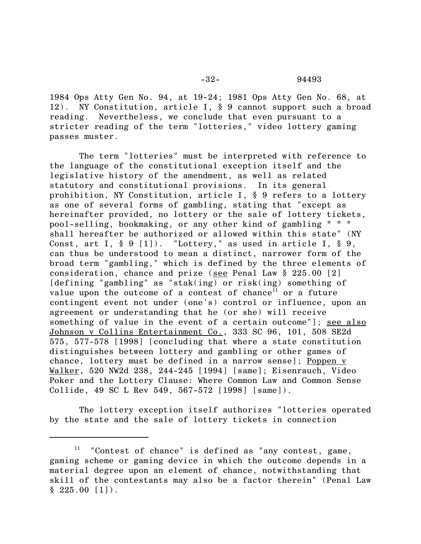1984 Ops Atty Gen No. 94, at 19-24; 1981 Ops Atty Gen No. 68, at 12). NY Constitution, article I, § 9 cannot support such a broad reading. Nevertheless, we conclude that even pursuant to a stricter reading of the term "lotteries," video lottery gaming passes muster.

The term "lotteries" must be interpreted with reference to the language of the constitutional exception itself and the legislative history of the amendment, as well as related statutory and constitutional provisions. In its general prohibition, NY Constitution, article I, § 9 refers to a lottery as one of several forms of gambling, stating that "except as hereinafter provided, no lottery or the sale of lottery tickets, pool-selling, bookmaking, or any other kind of gambling \* \* \* shall hereafter be authorized or allowed within this state" (NY Const, art I,  $\S 9 [1]$ ). "Lottery," as used in article I,  $\S 9$ , can thus be understood to mean a distinct, narrower form of the broad term "gambling," which is defined by the three elements of consideration, chance and prize (see Penal Law § 225.00 [2] [defining "gambling" as "stak(ing) or risk(ing) something of value upon the outcome of a contest of chance<sup>11</sup> or a future contingent event not under (one's) control or influence, upon an agreement or understanding that he (or she) will receive something of value in the event of a certain outcome"]; see also Johnson v Collins Entertainment Co., 333 SC 96, 101, 508 SE2d 575, 577-578 [1998] [concluding that where a state constitution distinguishes between lottery and gambling or other games of chance, lottery must be defined in a narrow sense]; Poppen v Walker, 520 NW2d 238, 244-245 [1994] [same]; Eisenrauch, Video Poker and the Lottery Clause: Where Common Law and Common Sense Collide, 49 SC L Rev 549, 567-572 [1998] [same]).

The lottery exception itself authorizes "lotteries operated by the state and the sale of lottery tickets in connection

 $11$  "Contest of chance" is defined as "any contest, game, gaming scheme or gaming device in which the outcome depends in a material degree upon an element of chance, notwithstanding that skill of the contestants may also be a factor therein" (Penal Law  $§ 225.00 [1]).$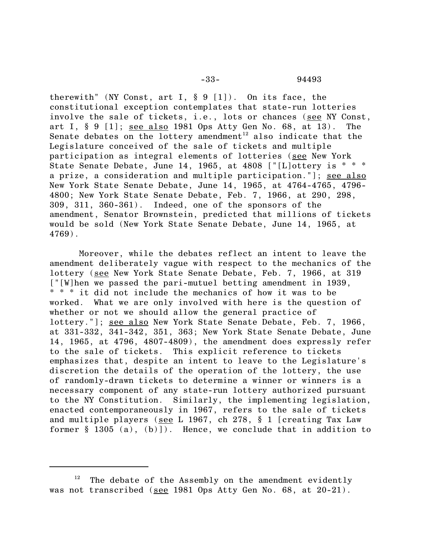therewith" (NY Const, art I,  $\S 9$  [1]). On its face, the constitutional exception contemplates that state-run lotteries involve the sale of tickets, i.e., lots or chances (see NY Const, art I,  $\S 9$  [1]; see also 1981 Ops Atty Gen No. 68, at 13). The Senate debates on the lottery amendment<sup>12</sup> also indicate that the Legislature conceived of the sale of tickets and multiple participation as integral elements of lotteries (see New York State Senate Debate, June 14, 1965, at 4808 ["[L]ottery is \* \* \* a prize, a consideration and multiple participation."]; see also New York State Senate Debate, June 14, 1965, at 4764-4765, 4796- 4800; New York State Senate Debate, Feb. 7, 1966, at 290, 298, 309, 311, 360-361). Indeed, one of the sponsors of the amendment, Senator Brownstein, predicted that millions of tickets would be sold (New York State Senate Debate, June 14, 1965, at 4769).

Moreover, while the debates reflect an intent to leave the amendment deliberately vague with respect to the mechanics of the lottery (see New York State Senate Debate, Feb. 7, 1966, at 319 ["[W]hen we passed the pari-mutuel betting amendment in 1939, \* \* \* it did not include the mechanics of how it was to be worked. What we are only involved with here is the question of whether or not we should allow the general practice of lottery."]; see also New York State Senate Debate, Feb. 7, 1966, at 331-332, 341-342, 351, 363; New York State Senate Debate, June 14, 1965, at 4796, 4807-4809), the amendment does expressly refer to the sale of tickets. This explicit reference to tickets emphasizes that, despite an intent to leave to the Legislature's discretion the details of the operation of the lottery, the use of randomly-drawn tickets to determine a winner or winners is a necessary component of any state-run lottery authorized pursuant to the NY Constitution. Similarly, the implementing legislation, enacted contemporaneously in 1967, refers to the sale of tickets and multiple players (see L 1967, ch 278, § 1 [creating Tax Law former § 1305 (a), (b)]). Hence, we conclude that in addition to

 $12$  The debate of the Assembly on the amendment evidently was not transcribed (see 1981 Ops Atty Gen No. 68, at 20-21).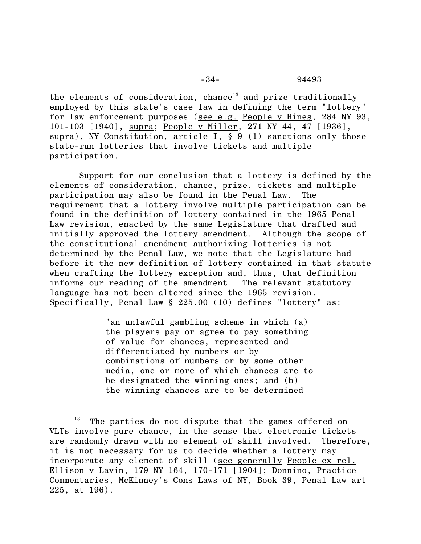the elements of consideration, chance<sup>13</sup> and prize traditionally employed by this state's case law in defining the term "lottery" for law enforcement purposes (see e.g. People v Hines, 284 NY 93, 101-103 [1940], supra; People v Miller, 271 NY 44, 47 [1936], supra), NY Constitution, article I, § 9 (1) sanctions only those state-run lotteries that involve tickets and multiple participation.

Support for our conclusion that a lottery is defined by the elements of consideration, chance, prize, tickets and multiple participation may also be found in the Penal Law. The requirement that a lottery involve multiple participation can be found in the definition of lottery contained in the 1965 Penal Law revision, enacted by the same Legislature that drafted and initially approved the lottery amendment. Although the scope of the constitutional amendment authorizing lotteries is not determined by the Penal Law, we note that the Legislature had before it the new definition of lottery contained in that statute when crafting the lottery exception and, thus, that definition informs our reading of the amendment. The relevant statutory language has not been altered since the 1965 revision. Specifically, Penal Law § 225.00 (10) defines "lottery" as:

> "an unlawful gambling scheme in which (a) the players pay or agree to pay something of value for chances, represented and differentiated by numbers or by combinations of numbers or by some other media, one or more of which chances are to be designated the winning ones; and (b) the winning chances are to be determined

The parties do not dispute that the games offered on VLTs involve pure chance, in the sense that electronic tickets are randomly drawn with no element of skill involved. Therefore, it is not necessary for us to decide whether a lottery may incorporate any element of skill (see generally People ex rel. Ellison v Lavin, 179 NY 164, 170-171 [1904]; Donnino, Practice Commentaries, McKinney's Cons Laws of NY, Book 39, Penal Law art 225, at 196).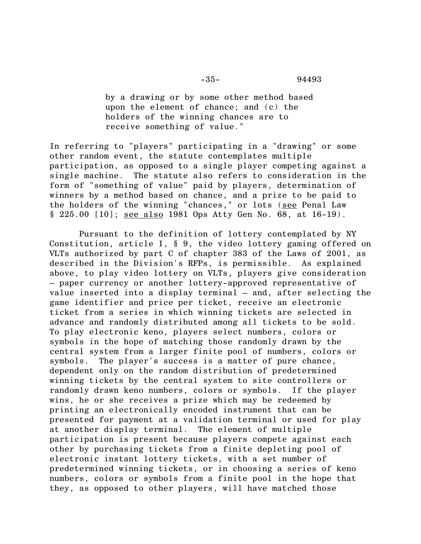by a drawing or by some other method based upon the element of chance; and (c) the holders of the winning chances are to receive something of value."

In referring to "players" participating in a "drawing" or some other random event, the statute contemplates multiple participation, as opposed to a single player competing against a single machine. The statute also refers to consideration in the form of "something of value" paid by players, determination of winners by a method based on chance, and a prize to be paid to the holders of the winning "chances," or lots (see Penal Law § 225.00 [10]; <u>see also</u> 1981 Ops Atty Gen No. 68, at 16-19).

Pursuant to the definition of lottery contemplated by NY Constitution, article I, § 9, the video lottery gaming offered on VLTs authorized by part C of chapter 383 of the Laws of 2001, as described in the Division's RFPs, is permissible. As explained above, to play video lottery on VLTs, players give consideration – paper currency or another lottery-approved representative of value inserted into a display terminal – and, after selecting the game identifier and price per ticket, receive an electronic ticket from a series in which winning tickets are selected in advance and randomly distributed among all tickets to be sold. To play electronic keno, players select numbers, colors or symbols in the hope of matching those randomly drawn by the central system from a larger finite pool of numbers, colors or symbols. The player's success is a matter of pure chance, dependent only on the random distribution of predetermined winning tickets by the central system to site controllers or randomly drawn keno numbers, colors or symbols. If the player wins, he or she receives a prize which may be redeemed by printing an electronically encoded instrument that can be presented for payment at a validation terminal or used for play at another display terminal. The element of multiple participation is present because players compete against each other by purchasing tickets from a finite depleting pool of electronic instant lottery tickets, with a set number of predetermined winning tickets, or in choosing a series of keno numbers, colors or symbols from a finite pool in the hope that they, as opposed to other players, will have matched those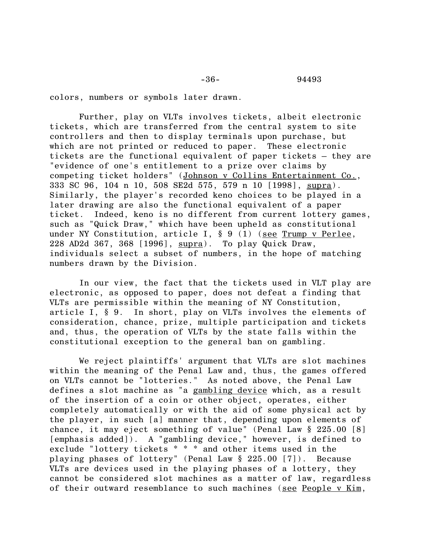-36- 94493

colors, numbers or symbols later drawn.

Further, play on VLTs involves tickets, albeit electronic tickets, which are transferred from the central system to site controllers and then to display terminals upon purchase, but which are not printed or reduced to paper. These electronic tickets are the functional equivalent of paper tickets – they are "evidence of one's entitlement to a prize over claims by competing ticket holders" (Johnson v Collins Entertainment Co., 333 SC 96, 104 n 10, 508 SE2d 575, 579 n 10 [1998], supra). Similarly, the player's recorded keno choices to be played in a later drawing are also the functional equivalent of a paper ticket. Indeed, keno is no different from current lottery games, such as "Quick Draw," which have been upheld as constitutional under NY Constitution, article I,  $\S 9$  (1) (see Trump v Perlee, 228 AD2d 367, 368 [1996], supra). To play Quick Draw, individuals select a subset of numbers, in the hope of matching numbers drawn by the Division.

In our view, the fact that the tickets used in VLT play are electronic, as opposed to paper, does not defeat a finding that VLTs are permissible within the meaning of NY Constitution, article I, § 9. In short, play on VLTs involves the elements of consideration, chance, prize, multiple participation and tickets and, thus, the operation of VLTs by the state falls within the constitutional exception to the general ban on gambling.

We reject plaintiffs' argument that VLTs are slot machines within the meaning of the Penal Law and, thus, the games offered on VLTs cannot be "lotteries." As noted above, the Penal Law defines a slot machine as "a gambling device which, as a result of the insertion of a coin or other object, operates, either completely automatically or with the aid of some physical act by the player, in such [a] manner that, depending upon elements of chance, it may eject something of value" (Penal Law § 225.00 [8] [emphasis added]). A "gambling device," however, is defined to exclude "lottery tickets \* \* \* and other items used in the playing phases of lottery" (Penal Law § 225.00 [7]). Because VLTs are devices used in the playing phases of a lottery, they cannot be considered slot machines as a matter of law, regardless of their outward resemblance to such machines (see People v Kim,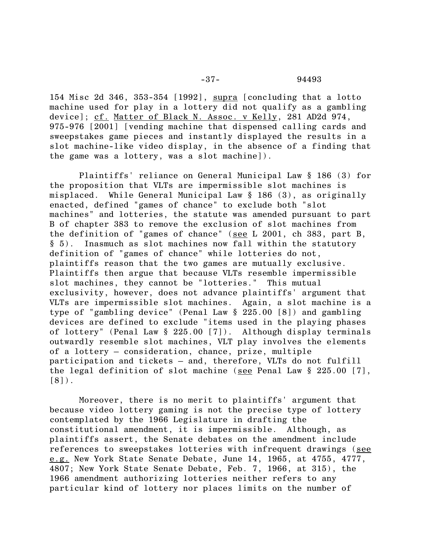154 Misc 2d 346, 353-354 [1992], supra [concluding that a lotto machine used for play in a lottery did not qualify as a gambling device]; cf. Matter of Black N. Assoc. v Kelly, 281 AD2d 974, 975-976 [2001] [vending machine that dispensed calling cards and sweepstakes game pieces and instantly displayed the results in a slot machine-like video display, in the absence of a finding that the game was a lottery, was a slot machine]).

Plaintiffs' reliance on General Municipal Law § 186 (3) for the proposition that VLTs are impermissible slot machines is misplaced. While General Municipal Law § 186 (3), as originally enacted, defined "games of chance" to exclude both "slot machines" and lotteries, the statute was amended pursuant to part B of chapter 383 to remove the exclusion of slot machines from the definition of "games of chance" (see L 2001, ch 383, part B, § 5). Inasmuch as slot machines now fall within the statutory definition of "games of chance" while lotteries do not, plaintiffs reason that the two games are mutually exclusive. Plaintiffs then argue that because VLTs resemble impermissible slot machines, they cannot be "lotteries." This mutual exclusivity, however, does not advance plaintiffs' argument that VLTs are impermissible slot machines. Again, a slot machine is a type of "gambling device" (Penal Law § 225.00 [8]) and gambling devices are defined to exclude "items used in the playing phases of lottery" (Penal Law § 225.00 [7]). Although display terminals outwardly resemble slot machines, VLT play involves the elements of a lottery – consideration, chance, prize, multiple participation and tickets – and, therefore, VLTs do not fulfill the legal definition of slot machine (see Penal Law § 225.00 [7],  $[8]$ .

Moreover, there is no merit to plaintiffs' argument that because video lottery gaming is not the precise type of lottery contemplated by the 1966 Legislature in drafting the constitutional amendment, it is impermissible. Although, as plaintiffs assert, the Senate debates on the amendment include references to sweepstakes lotteries with infrequent drawings (see e.g. New York State Senate Debate, June 14, 1965, at 4755, 4777, 4807; New York State Senate Debate, Feb. 7, 1966, at 315), the 1966 amendment authorizing lotteries neither refers to any particular kind of lottery nor places limits on the number of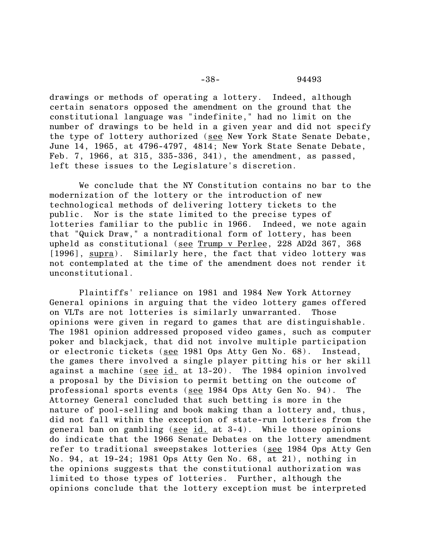drawings or methods of operating a lottery. Indeed, although certain senators opposed the amendment on the ground that the constitutional language was "indefinite," had no limit on the number of drawings to be held in a given year and did not specify the type of lottery authorized (see New York State Senate Debate, June 14, 1965, at 4796-4797, 4814; New York State Senate Debate, Feb. 7, 1966, at 315, 335-336, 341), the amendment, as passed, left these issues to the Legislature's discretion.

We conclude that the NY Constitution contains no bar to the modernization of the lottery or the introduction of new technological methods of delivering lottery tickets to the public. Nor is the state limited to the precise types of lotteries familiar to the public in 1966. Indeed, we note again that "Quick Draw," a nontraditional form of lottery, has been upheld as constitutional (see Trump v Perlee, 228 AD2d 367, 368 [1996], supra). Similarly here, the fact that video lottery was not contemplated at the time of the amendment does not render it unconstitutional.

Plaintiffs' reliance on 1981 and 1984 New York Attorney General opinions in arguing that the video lottery games offered on VLTs are not lotteries is similarly unwarranted. Those opinions were given in regard to games that are distinguishable. The 1981 opinion addressed proposed video games, such as computer poker and blackjack, that did not involve multiple participation or electronic tickets (see 1981 Ops Atty Gen No. 68). Instead, the games there involved a single player pitting his or her skill against a machine (see id. at 13-20). The 1984 opinion involved a proposal by the Division to permit betting on the outcome of professional sports events (see 1984 Ops Atty Gen No. 94). The Attorney General concluded that such betting is more in the nature of pool-selling and book making than a lottery and, thus, did not fall within the exception of state-run lotteries from the general ban on gambling (see  $id.$  at 3-4). While those opinions do indicate that the 1966 Senate Debates on the lottery amendment refer to traditional sweepstakes lotteries (see 1984 Ops Atty Gen No. 94, at 19-24; 1981 Ops Atty Gen No. 68, at 21), nothing in the opinions suggests that the constitutional authorization was limited to those types of lotteries. Further, although the opinions conclude that the lottery exception must be interpreted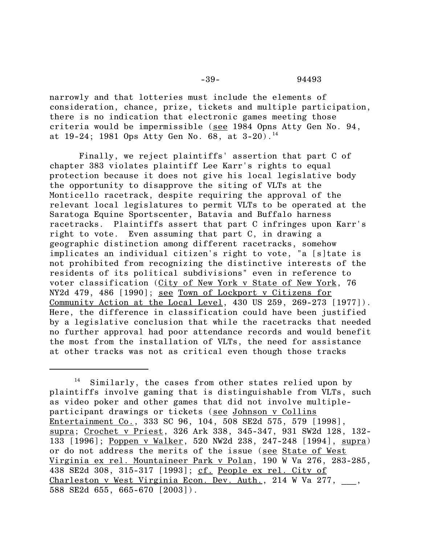narrowly and that lotteries must include the elements of consideration, chance, prize, tickets and multiple participation, there is no indication that electronic games meeting those criteria would be impermissible (see 1984 Opns Atty Gen No. 94, at 19-24; 1981 Ops Atty Gen No. 68, at  $3-20$ ).<sup>14</sup>

Finally, we reject plaintiffs' assertion that part C of chapter 383 violates plaintiff Lee Karr's rights to equal protection because it does not give his local legislative body the opportunity to disapprove the siting of VLTs at the Monticello racetrack, despite requiring the approval of the relevant local legislatures to permit VLTs to be operated at the Saratoga Equine Sportscenter, Batavia and Buffalo harness racetracks. Plaintiffs assert that part C infringes upon Karr's right to vote. Even assuming that part C, in drawing a geographic distinction among different racetracks, somehow implicates an individual citizen's right to vote, "a [s]tate is not prohibited from recognizing the distinctive interests of the residents of its political subdivisions" even in reference to voter classification (City of New York v State of New York, 76 NY2d 479, 486 [1990]; see Town of Lockport v Citizens for Community Action at the Local Level, 430 US 259, 269-273 [1977]). Here, the difference in classification could have been justified by a legislative conclusion that while the racetracks that needed no further approval had poor attendance records and would benefit the most from the installation of VLTs, the need for assistance at other tracks was not as critical even though those tracks

 $14$  Similarly, the cases from other states relied upon by plaintiffs involve gaming that is distinguishable from VLTs, such as video poker and other games that did not involve multipleparticipant drawings or tickets (see Johnson v Collins Entertainment Co., 333 SC 96, 104, 508 SE2d 575, 579 [1998], supra; Crochet v Priest, 326 Ark 338, 345-347, 931 SW2d 128, 132- 133 [1996]; Poppen v Walker, 520 NW2d 238, 247-248 [1994], supra) or do not address the merits of the issue (see State of West Virginia ex rel. Mountaineer Park v Polan, 190 W Va 276, 283-285, 438 SE2d 308, 315-317 [1993]; cf. People ex rel. City of Charleston v West Virginia <u>Econ. Dev. Auth.</u>, 214 W Va 277,  $\,$ 588 SE2d 655, 665-670 [2003]).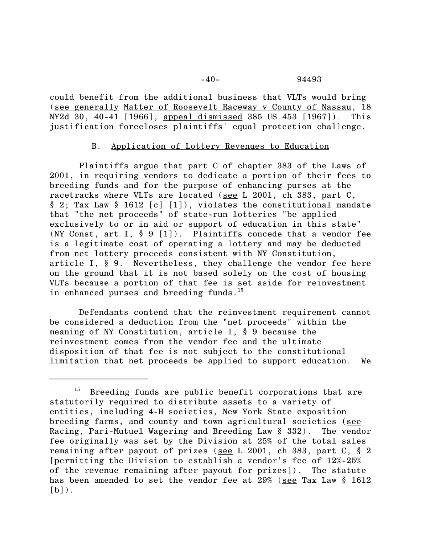could benefit from the additional business that VLTs would bring (see generally Matter of Roosevelt Raceway v County of Nassau, 18 NY2d 30, 40-41 [1966], appeal dismissed 385 US 453 [1967]). This justification forecloses plaintiffs' equal protection challenge.

## B. Application of Lottery Revenues to Education

Plaintiffs argue that part C of chapter 383 of the Laws of 2001, in requiring vendors to dedicate a portion of their fees to breeding funds and for the purpose of enhancing purses at the racetracks where VLTs are located (see L 2001, ch 383, part C, § 2; Tax Law § 1612 [c] [1]), violates the constitutional mandate that "the net proceeds" of state-run lotteries "be applied exclusively to or in aid or support of education in this state" (NY Const, art I, § 9 [1]). Plaintiffs concede that a vendor fee is a legitimate cost of operating a lottery and may be deducted from net lottery proceeds consistent with NY Constitution, article I, § 9. Nevertheless, they challenge the vendor fee here on the ground that it is not based solely on the cost of housing VLTs because a portion of that fee is set aside for reinvestment in enhanced purses and breeding funds. $15$ 

Defendants contend that the reinvestment requirement cannot be considered a deduction from the "net proceeds" within the meaning of NY Constitution, article I, § 9 because the reinvestment comes from the vendor fee and the ultimate disposition of that fee is not subject to the constitutional limitation that net proceeds be applied to support education. We

 $15$  Breeding funds are public benefit corporations that are statutorily required to distribute assets to a variety of entities, including 4-H societies, New York State exposition breeding farms, and county and town agricultural societies (see Racing, Pari-Mutuel Wagering and Breeding Law § 332). The vendor fee originally was set by the Division at 25% of the total sales remaining after payout of prizes (see L 2001, ch 383, part C, § 2 [permitting the Division to establish a vendor's fee of 12%-25% of the revenue remaining after payout for prizes]). The statute has been amended to set the vendor fee at 29% (see Tax Law § 1612  $[b]$ .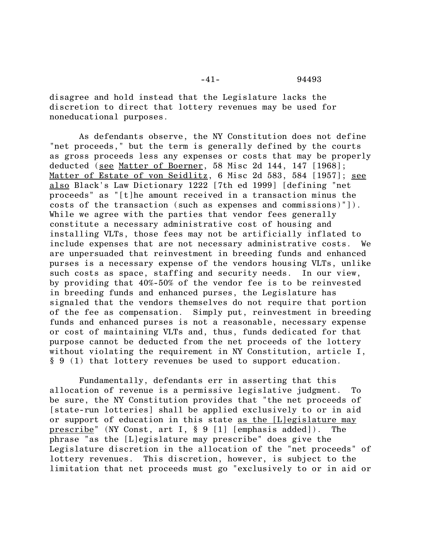disagree and hold instead that the Legislature lacks the discretion to direct that lottery revenues may be used for noneducational purposes.

As defendants observe, the NY Constitution does not define "net proceeds," but the term is generally defined by the courts as gross proceeds less any expenses or costs that may be properly deducted (see Matter of Boerner, 58 Misc 2d 144, 147 [1968]; Matter of Estate of von Seidlitz, 6 Misc 2d 583, 584 [1957]; see also Black's Law Dictionary 1222 [7th ed 1999] [defining "net proceeds" as "[t]he amount received in a transaction minus the costs of the transaction (such as expenses and commissions)"]). While we agree with the parties that vendor fees generally constitute a necessary administrative cost of housing and installing VLTs, those fees may not be artificially inflated to include expenses that are not necessary administrative costs. We are unpersuaded that reinvestment in breeding funds and enhanced purses is a necessary expense of the vendors housing VLTs, unlike such costs as space, staffing and security needs. In our view, by providing that 40%-50% of the vendor fee is to be reinvested in breeding funds and enhanced purses, the Legislature has signaled that the vendors themselves do not require that portion of the fee as compensation. Simply put, reinvestment in breeding funds and enhanced purses is not a reasonable, necessary expense or cost of maintaining VLTs and, thus, funds dedicated for that purpose cannot be deducted from the net proceeds of the lottery without violating the requirement in NY Constitution, article I, § 9 (1) that lottery revenues be used to support education.

Fundamentally, defendants err in asserting that this allocation of revenue is a permissive legislative judgment. To be sure, the NY Constitution provides that "the net proceeds of [state-run lotteries] shall be applied exclusively to or in aid or support of education in this state as the [L]egislature may prescribe" (NY Const, art I, § 9 [1] [emphasis added]). The phrase "as the [L]egislature may prescribe" does give the Legislature discretion in the allocation of the "net proceeds" of lottery revenues. This discretion, however, is subject to the limitation that net proceeds must go "exclusively to or in aid or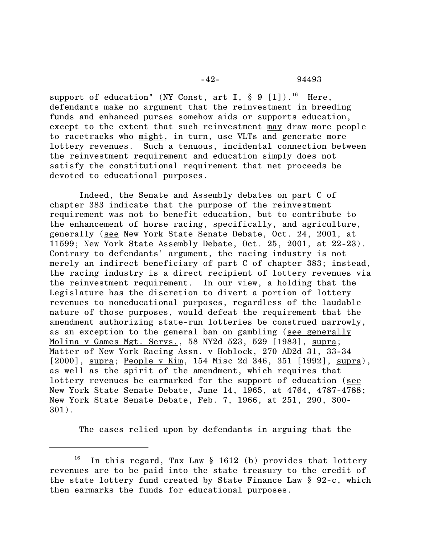support of education" (NY Const, art I,  $\S$  9 [1]).<sup>16</sup> Here, defendants make no argument that the reinvestment in breeding funds and enhanced purses somehow aids or supports education, except to the extent that such reinvestment may draw more people to racetracks who might, in turn, use VLTs and generate more lottery revenues. Such a tenuous, incidental connection between the reinvestment requirement and education simply does not satisfy the constitutional requirement that net proceeds be devoted to educational purposes.

Indeed, the Senate and Assembly debates on part C of chapter 383 indicate that the purpose of the reinvestment requirement was not to benefit education, but to contribute to the enhancement of horse racing, specifically, and agriculture, generally (see New York State Senate Debate, Oct. 24, 2001, at 11599; New York State Assembly Debate, Oct. 25, 2001, at 22-23). Contrary to defendants' argument, the racing industry is not merely an indirect beneficiary of part C of chapter 383; instead, the racing industry is a direct recipient of lottery revenues via the reinvestment requirement. In our view, a holding that the Legislature has the discretion to divert a portion of lottery revenues to noneducational purposes, regardless of the laudable nature of those purposes, would defeat the requirement that the amendment authorizing state-run lotteries be construed narrowly, as an exception to the general ban on gambling (see generally Molina v Games Mgt. Servs., 58 NY2d 523, 529 [1983], supra; Matter of New York Racing Assn. v Hoblock, 270 AD2d 31, 33-34 [2000], supra; People v Kim, 154 Misc 2d 346, 351 [1992], supra), as well as the spirit of the amendment, which requires that lottery revenues be earmarked for the support of education (see New York State Senate Debate, June 14, 1965, at 4764, 4787-4788; New York State Senate Debate, Feb. 7, 1966, at 251, 290, 300- 301).

The cases relied upon by defendants in arguing that the

 $16$  In this regard, Tax Law § 1612 (b) provides that lottery revenues are to be paid into the state treasury to the credit of the state lottery fund created by State Finance Law § 92-c, which then earmarks the funds for educational purposes.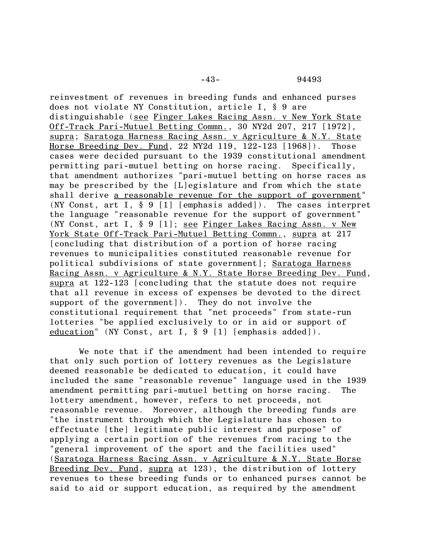reinvestment of revenues in breeding funds and enhanced purses does not violate NY Constitution, article I, § 9 are distinguishable (see Finger Lakes Racing Assn. v New York State Off-Track Pari-Mutuel Betting Commn., 30 NY2d 207, 217 [1972], supra; Saratoga Harness Racing Assn. v Agriculture & N.Y. State Horse Breeding Dev. Fund, 22 NY2d 119, 122-123 [1968]). Those cases were decided pursuant to the 1939 constitutional amendment permitting pari-mutuel betting on horse racing. Specifically, that amendment authorizes "pari-mutuel betting on horse races as may be prescribed by the [L]egislature and from which the state shall derive a reasonable revenue for the support of government" (NY Const, art I, § 9 [1] [emphasis added]). The cases interpret the language "reasonable revenue for the support of government" (NY Const, art I, § 9 [1]; see Finger Lakes Racing Assn. v New York State Off-Track Pari-Mutuel Betting Commn., supra at 217 [concluding that distribution of a portion of horse racing revenues to municipalities constituted reasonable revenue for political subdivisions of state government]; Saratoga Harness Racing Assn. v Agriculture & N.Y. State Horse Breeding Dev. Fund, supra at 122-123 [concluding that the statute does not require that all revenue in excess of expenses be devoted to the direct support of the government]). They do not involve the constitutional requirement that "net proceeds" from state-run lotteries "be applied exclusively to or in aid or support of education" (NY Const, art I, § 9 [1] [emphasis added]).

We note that if the amendment had been intended to require that only such portion of lottery revenues as the Legislature deemed reasonable be dedicated to education, it could have included the same "reasonable revenue" language used in the 1939 amendment permitting pari-mutuel betting on horse racing. The lottery amendment, however, refers to net proceeds, not reasonable revenue. Moreover, although the breeding funds are "the instrument through which the Legislature has chosen to effectuate [the] legitimate public interest and purpose" of applying a certain portion of the revenues from racing to the "general improvement of the sport and the facilities used" (Saratoga Harness Racing Assn. v Agriculture & N.Y. State Horse Breeding Dev. Fund, supra at 123), the distribution of lottery revenues to these breeding funds or to enhanced purses cannot be said to aid or support education, as required by the amendment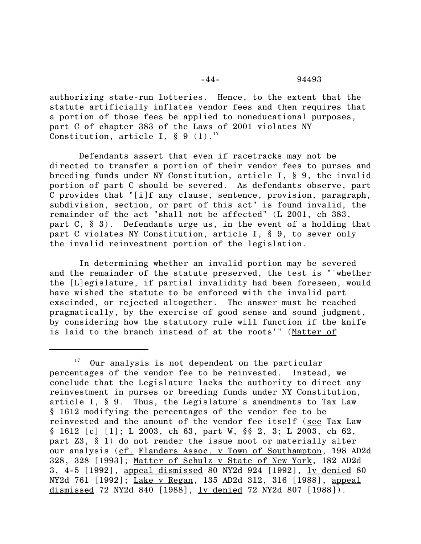authorizing state-run lotteries. Hence, to the extent that the statute artificially inflates vendor fees and then requires that a portion of those fees be applied to noneducational purposes, part C of chapter 383 of the Laws of 2001 violates NY Constitution, article I,  $\S 9 (1).$ <sup>17</sup>

Defendants assert that even if racetracks may not be directed to transfer a portion of their vendor fees to purses and breeding funds under NY Constitution, article I, § 9, the invalid portion of part C should be severed. As defendants observe, part C provides that "[i]f any clause, sentence, provision, paragraph, subdivision, section, or part of this act" is found invalid, the remainder of the act "shall not be affected" (L 2001, ch 383, part C, § 3). Defendants urge us, in the event of a holding that part C violates NY Constitution, article I, § 9, to sever only the invalid reinvestment portion of the legislation.

In determining whether an invalid portion may be severed and the remainder of the statute preserved, the test is "'whether the [L]egislature, if partial invalidity had been foreseen, would have wished the statute to be enforced with the invalid part exscinded, or rejected altogether. The answer must be reached pragmatically, by the exercise of good sense and sound judgment, by considering how the statutory rule will function if the knife is laid to the branch instead of at the roots'" (Matter of

 $17$  Our analysis is not dependent on the particular percentages of the vendor fee to be reinvested. Instead, we conclude that the Legislature lacks the authority to direct any reinvestment in purses or breeding funds under NY Constitution, article I, § 9. Thus, the Legislature's amendments to Tax Law § 1612 modifying the percentages of the vendor fee to be reinvested and the amount of the vendor fee itself (see Tax Law § 1612 [c] [1]; L 2003, ch 63, part W, §§ 2, 3; L 2003, ch 62, part Z3, § 1) do not render the issue moot or materially alter our analysis (cf. Flanders Assoc. v Town of Southampton, 198 AD2d 328, 328 [1993]; Matter of Schulz v State of New York, 182 AD2d 3, 4-5 [1992], appeal dismissed 80 NY2d 924 [1992], lv denied 80 NY2d 761 [1992]; Lake v Regan, 135 AD2d 312, 316 [1988], appeal dismissed 72 NY2d 840 [1988], lv denied 72 NY2d 807 [1988]).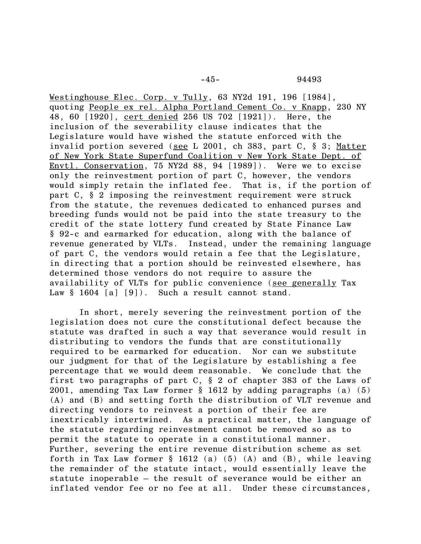Westinghouse Elec. Corp. v Tully, 63 NY2d 191, 196 [1984], quoting People ex rel. Alpha Portland Cement Co. v Knapp, 230 NY 48, 60 [1920], cert denied 256 US 702 [1921]). Here, the inclusion of the severability clause indicates that the Legislature would have wished the statute enforced with the invalid portion severed (see L 2001, ch 383, part  $C$ ,  $\S$  3; Matter of New York State Superfund Coalition v New York State Dept. of Envtl. Conservation, 75 NY2d 88, 94 [1989]). Were we to excise only the reinvestment portion of part C, however, the vendors would simply retain the inflated fee. That is, if the portion of part C, § 2 imposing the reinvestment requirement were struck from the statute, the revenues dedicated to enhanced purses and breeding funds would not be paid into the state treasury to the credit of the state lottery fund created by State Finance Law § 92-c and earmarked for education, along with the balance of revenue generated by VLTs. Instead, under the remaining language of part C, the vendors would retain a fee that the Legislature, in directing that a portion should be reinvested elsewhere, has determined those vendors do not require to assure the availability of VLTs for public convenience (see generally Tax Law  $§$  1604 [a] [9]). Such a result cannot stand.

In short, merely severing the reinvestment portion of the legislation does not cure the constitutional defect because the statute was drafted in such a way that severance would result in distributing to vendors the funds that are constitutionally required to be earmarked for education. Nor can we substitute our judgment for that of the Legislature by establishing a fee percentage that we would deem reasonable. We conclude that the first two paragraphs of part C, § 2 of chapter 383 of the Laws of 2001, amending Tax Law former § 1612 by adding paragraphs (a) (5) (A) and (B) and setting forth the distribution of VLT revenue and directing vendors to reinvest a portion of their fee are inextricably intertwined. As a practical matter, the language of the statute regarding reinvestment cannot be removed so as to permit the statute to operate in a constitutional manner. Further, severing the entire revenue distribution scheme as set forth in Tax Law former  $\S$  1612 (a) (5) (A) and (B), while leaving the remainder of the statute intact, would essentially leave the statute inoperable – the result of severance would be either an inflated vendor fee or no fee at all. Under these circumstances,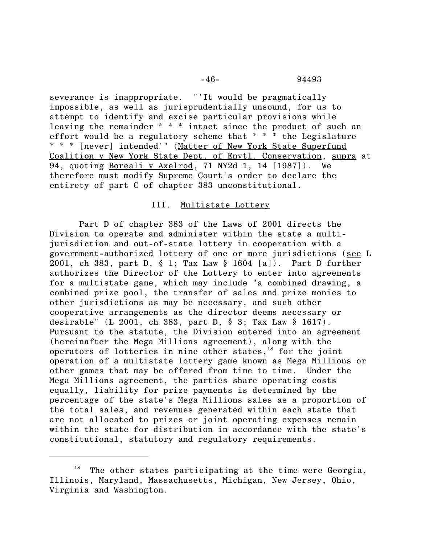severance is inappropriate. "'It would be pragmatically impossible, as well as jurisprudentially unsound, for us to attempt to identify and excise particular provisions while leaving the remainder \* \* \* intact since the product of such an effort would be a regulatory scheme that \* \* \* the Legislature \* \* \* [never] intended'" (Matter of New York State Superfund Coalition v New York State Dept. of Envtl. Conservation, supra at 94, quoting Boreali v Axelrod, 71 NY2d 1, 14 [1987]). We therefore must modify Supreme Court's order to declare the entirety of part C of chapter 383 unconstitutional.

#### III. Multistate Lottery

Part D of chapter 383 of the Laws of 2001 directs the Division to operate and administer within the state a multijurisdiction and out-of-state lottery in cooperation with a government-authorized lottery of one or more jurisdictions (see L 2001, ch 383, part D, § 1; Tax Law § 1604 [a]). Part D further authorizes the Director of the Lottery to enter into agreements for a multistate game, which may include "a combined drawing, a combined prize pool, the transfer of sales and prize monies to other jurisdictions as may be necessary, and such other cooperative arrangements as the director deems necessary or desirable" (L 2001, ch 383, part D, § 3; Tax Law § 1617). Pursuant to the statute, the Division entered into an agreement (hereinafter the Mega Millions agreement), along with the operators of lotteries in nine other states, $^{18}$  for the joint operation of a multistate lottery game known as Mega Millions or other games that may be offered from time to time. Under the Mega Millions agreement, the parties share operating costs equally, liability for prize payments is determined by the percentage of the state's Mega Millions sales as a proportion of the total sales, and revenues generated within each state that are not allocated to prizes or joint operating expenses remain within the state for distribution in accordance with the state's constitutional, statutory and regulatory requirements.

The other states participating at the time were Georgia, Illinois, Maryland, Massachusetts, Michigan, New Jersey, Ohio, Virginia and Washington.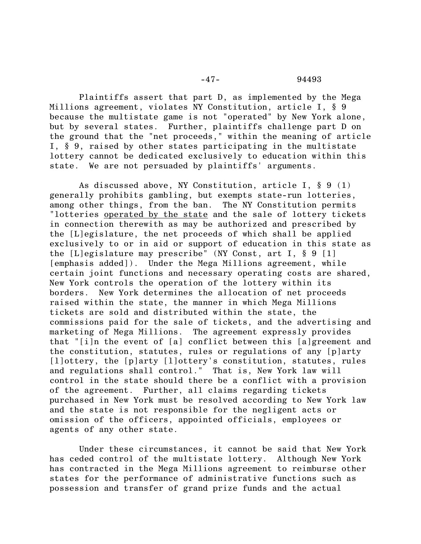Plaintiffs assert that part D, as implemented by the Mega Millions agreement, violates NY Constitution, article I, § 9 because the multistate game is not "operated" by New York alone, but by several states. Further, plaintiffs challenge part D on the ground that the "net proceeds," within the meaning of article I, § 9, raised by other states participating in the multistate lottery cannot be dedicated exclusively to education within this state. We are not persuaded by plaintiffs' arguments.

As discussed above, NY Constitution, article I, § 9 (1) generally prohibits gambling, but exempts state-run lotteries, among other things, from the ban. The NY Constitution permits "lotteries operated by the state and the sale of lottery tickets in connection therewith as may be authorized and prescribed by the [L]egislature, the net proceeds of which shall be applied exclusively to or in aid or support of education in this state as the [L]egislature may prescribe" (NY Const, art I, § 9 [1] [emphasis added]). Under the Mega Millions agreement, while certain joint functions and necessary operating costs are shared, New York controls the operation of the lottery within its borders. New York determines the allocation of net proceeds raised within the state, the manner in which Mega Millions tickets are sold and distributed within the state, the commissions paid for the sale of tickets, and the advertising and marketing of Mega Millions. The agreement expressly provides that "[i]n the event of [a] conflict between this [a]greement and the constitution, statutes, rules or regulations of any [p]arty [l]ottery, the [p]arty [l]ottery's constitution, statutes, rules and regulations shall control." That is, New York law will control in the state should there be a conflict with a provision of the agreement. Further, all claims regarding tickets purchased in New York must be resolved according to New York law and the state is not responsible for the negligent acts or omission of the officers, appointed officials, employees or agents of any other state.

Under these circumstances, it cannot be said that New York has ceded control of the multistate lottery. Although New York has contracted in the Mega Millions agreement to reimburse other states for the performance of administrative functions such as possession and transfer of grand prize funds and the actual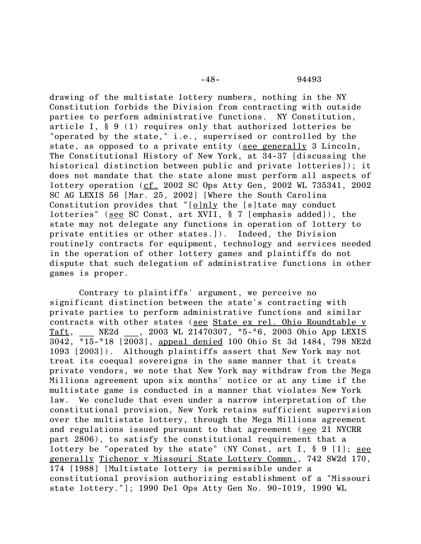drawing of the multistate lottery numbers, nothing in the NY Constitution forbids the Division from contracting with outside parties to perform administrative functions. NY Constitution, article I, § 9 (1) requires only that authorized lotteries be "operated by the state," i.e., supervised or controlled by the state, as opposed to a private entity (see generally 3 Lincoln, The Constitutional History of New York, at 34-37 [discussing the historical distinction between public and private lotteries]); it does not mandate that the state alone must perform all aspects of lottery operation (cf. 2002 SC Ops Atty Gen, 2002 WL 735341, 2002 SC AG LEXIS 56 [Mar. 25, 2002] [Where the South Carolina Constitution provides that "[o]nly the [s]tate may conduct lotteries" (see SC Const, art XVII, § 7 [emphasis added]), the state may not delegate any functions in operation of lottery to private entities or other states.]). Indeed, the Division routinely contracts for equipment, technology and services needed in the operation of other lottery games and plaintiffs do not dispute that such delegation of administrative functions in other games is proper.

Contrary to plaintiffs' argument, we perceive no significant distinction between the state's contracting with private parties to perform administrative functions and similar contracts with other states (see State ex rel. Ohio Roundtable v Taft, \_\_\_ NE2d \_\_\_, 2003 WL 21470307, \*5-\*6, 2003 Ohio App LEXIS 3042, \*15-\*18 [2003], appeal denied 100 Ohio St 3d 1484, 798 NE2d 1093 [2003]). Although plaintiffs assert that New York may not treat its coequal sovereigns in the same manner that it treats private vendors, we note that New York may withdraw from the Mega Millions agreement upon six months' notice or at any time if the multistate game is conducted in a manner that violates New York law. We conclude that even under a narrow interpretation of the constitutional provision, New York retains sufficient supervision over the multistate lottery, through the Mega Millions agreement and regulations issued pursuant to that agreement (see 21 NYCRR part 2806), to satisfy the constitutional requirement that a lottery be "operated by the state" (NY Const, art I, § 9 [1]; see generally Tichenor v Missouri State Lottery Commn., 742 SW2d 170, 174 [1988] [Multistate lottery is permissible under a constitutional provision authorizing establishment of a "Missouri state lottery."]; 1990 Del Ops Atty Gen No. 90-I019, 1990 WL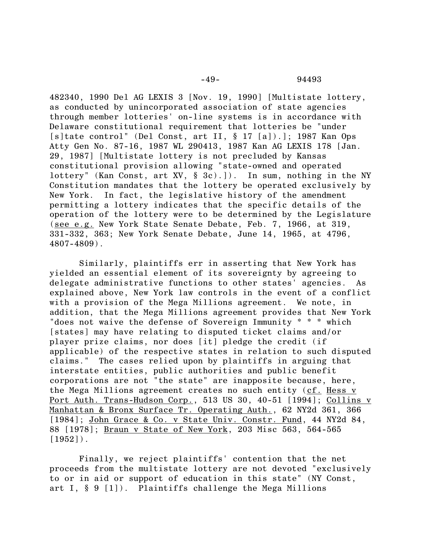482340, 1990 Del AG LEXIS 3 [Nov. 19, 1990] [Multistate lottery, as conducted by unincorporated association of state agencies through member lotteries' on-line systems is in accordance with Delaware constitutional requirement that lotteries be "under [s]tate control" (Del Const, art II, § 17 [a]).]; 1987 Kan Ops Atty Gen No. 87-16, 1987 WL 290413, 1987 Kan AG LEXIS 178 [Jan. 29, 1987] [Multistate lottery is not precluded by Kansas constitutional provision allowing "state-owned and operated lottery" (Kan Const, art XV, § 3c).]). In sum, nothing in the NY Constitution mandates that the lottery be operated exclusively by New York. In fact, the legislative history of the amendment permitting a lottery indicates that the specific details of the operation of the lottery were to be determined by the Legislature (see e.g. New York State Senate Debate, Feb. 7, 1966, at 319, 331-332, 363; New York Senate Debate, June 14, 1965, at 4796, 4807-4809).

Similarly, plaintiffs err in asserting that New York has yielded an essential element of its sovereignty by agreeing to delegate administrative functions to other states' agencies. As explained above, New York law controls in the event of a conflict with a provision of the Mega Millions agreement. We note, in addition, that the Mega Millions agreement provides that New York "does not waive the defense of Sovereign Immunity \* \* \* which [states] may have relating to disputed ticket claims and/or player prize claims, nor does [it] pledge the credit (if applicable) of the respective states in relation to such disputed claims." The cases relied upon by plaintiffs in arguing that interstate entities, public authorities and public benefit corporations are not "the state" are inapposite because, here, the Mega Millions agreement creates no such entity (cf. Hess v Port Auth. Trans-Hudson Corp., 513 US 30, 40-51 [1994]; Collins v Manhattan & Bronx Surface Tr. Operating Auth., 62 NY2d 361, 366 [1984]; John Grace & Co. v State Univ. Constr. Fund, 44 NY2d 84, 88 [1978]; Braun v State of New York, 203 Misc 563, 564-565  $[1952]$ .

Finally, we reject plaintiffs' contention that the net proceeds from the multistate lottery are not devoted "exclusively to or in aid or support of education in this state" (NY Const, art I, § 9 [1]). Plaintiffs challenge the Mega Millions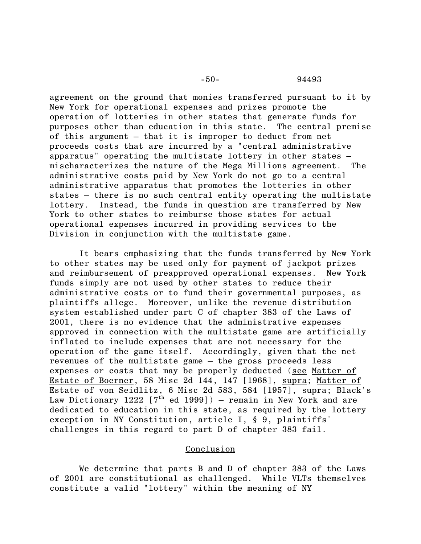agreement on the ground that monies transferred pursuant to it by New York for operational expenses and prizes promote the operation of lotteries in other states that generate funds for purposes other than education in this state. The central premise of this argument – that it is improper to deduct from net proceeds costs that are incurred by a "central administrative apparatus" operating the multistate lottery in other states – mischaracterizes the nature of the Mega Millions agreement. The administrative costs paid by New York do not go to a central administrative apparatus that promotes the lotteries in other states – there is no such central entity operating the multistate lottery. Instead, the funds in question are transferred by New York to other states to reimburse those states for actual operational expenses incurred in providing services to the Division in conjunction with the multistate game.

It bears emphasizing that the funds transferred by New York to other states may be used only for payment of jackpot prizes and reimbursement of preapproved operational expenses. New York funds simply are not used by other states to reduce their administrative costs or to fund their governmental purposes, as plaintiffs allege. Moreover, unlike the revenue distribution system established under part C of chapter 383 of the Laws of 2001, there is no evidence that the administrative expenses approved in connection with the multistate game are artificially inflated to include expenses that are not necessary for the operation of the game itself. Accordingly, given that the net revenues of the multistate game – the gross proceeds less expenses or costs that may be properly deducted (see Matter of Estate of Boerner, 58 Misc 2d 144, 147 [1968], supra; Matter of Estate of von Seidlitz, 6 Misc 2d 583, 584 [1957], supra; Black's Law Dictionary 1222  $\lceil 7^{th} \rceil$  ed 1999]) – remain in New York and are dedicated to education in this state, as required by the lottery exception in NY Constitution, article I, § 9, plaintiffs' challenges in this regard to part D of chapter 383 fail.

## Conclusion

We determine that parts B and D of chapter 383 of the Laws of 2001 are constitutional as challenged. While VLTs themselves constitute a valid "lottery" within the meaning of NY